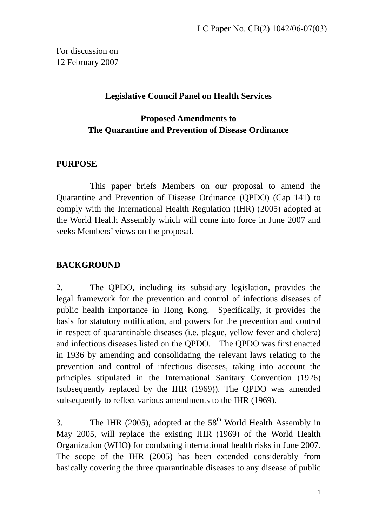For discussion on 12 February 2007

# **Legislative Council Panel on Health Services**

# **Proposed Amendments to The Quarantine and Prevention of Disease Ordinance**

# **PURPOSE**

This paper briefs Members on our proposal to amend the Quarantine and Prevention of Disease Ordinance (QPDO) (Cap 141) to comply with the International Health Regulation (IHR) (2005) adopted at the World Health Assembly which will come into force in June 2007 and seeks Members' views on the proposal.

# **BACKGROUND**

2. The QPDO, including its subsidiary legislation, provides the legal framework for the prevention and control of infectious diseases of public health importance in Hong Kong. Specifically, it provides the basis for statutory notification, and powers for the prevention and control in respect of quarantinable diseases (i.e. plague, yellow fever and cholera) and infectious diseases listed on the QPDO. The QPDO was first enacted in 1936 by amending and consolidating the relevant laws relating to the prevention and control of infectious diseases, taking into account the principles stipulated in the International Sanitary Convention (1926) (subsequently replaced by the IHR (1969)). The QPDO was amended subsequently to reflect various amendments to the IHR (1969).

3. The IHR (2005), adopted at the  $58<sup>th</sup>$  World Health Assembly in May 2005, will replace the existing IHR (1969) of the World Health Organization (WHO) for combating international health risks in June 2007. The scope of the IHR (2005) has been extended considerably from basically covering the three quarantinable diseases to any disease of public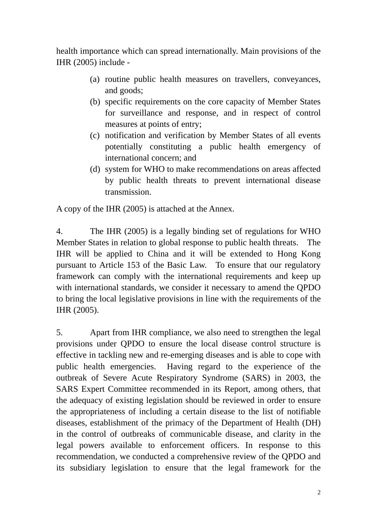health importance which can spread internationally. Main provisions of the IHR (2005) include -

- (a) routine public health measures on travellers, conveyances, and goods;
- (b) specific requirements on the core capacity of Member States for surveillance and response, and in respect of control measures at points of entry;
- (c) notification and verification by Member States of all events potentially constituting a public health emergency of international concern; and
- (d) system for WHO to make recommendations on areas affected by public health threats to prevent international disease transmission.

A copy of the IHR (2005) is attached at the Annex.

4. The IHR (2005) is a legally binding set of regulations for WHO Member States in relation to global response to public health threats. The IHR will be applied to China and it will be extended to Hong Kong pursuant to Article 153 of the Basic Law. To ensure that our regulatory framework can comply with the international requirements and keep up with international standards, we consider it necessary to amend the QPDO to bring the local legislative provisions in line with the requirements of the IHR (2005).

5. Apart from IHR compliance, we also need to strengthen the legal provisions under QPDO to ensure the local disease control structure is effective in tackling new and re-emerging diseases and is able to cope with public health emergencies. Having regard to the experience of the outbreak of Severe Acute Respiratory Syndrome (SARS) in 2003, the SARS Expert Committee recommended in its Report, among others, that the adequacy of existing legislation should be reviewed in order to ensure the appropriateness of including a certain disease to the list of notifiable diseases, establishment of the primacy of the Department of Health (DH) in the control of outbreaks of communicable disease, and clarity in the legal powers available to enforcement officers. In response to this recommendation, we conducted a comprehensive review of the QPDO and its subsidiary legislation to ensure that the legal framework for the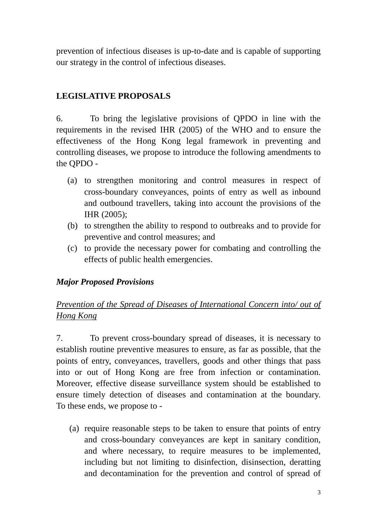prevention of infectious diseases is up-to-date and is capable of supporting our strategy in the control of infectious diseases.

# **LEGISLATIVE PROPOSALS**

6. To bring the legislative provisions of QPDO in line with the requirements in the revised IHR (2005) of the WHO and to ensure the effectiveness of the Hong Kong legal framework in preventing and controlling diseases, we propose to introduce the following amendments to the QPDO -

- (a) to strengthen monitoring and control measures in respect of cross-boundary conveyances, points of entry as well as inbound and outbound travellers, taking into account the provisions of the IHR (2005);
- (b) to strengthen the ability to respond to outbreaks and to provide for preventive and control measures; and
- (c) to provide the necessary power for combating and controlling the effects of public health emergencies.

# *Major Proposed Provisions*

# *Prevention of the Spread of Diseases of International Concern into/ out of Hong Kong*

7. To prevent cross-boundary spread of diseases, it is necessary to establish routine preventive measures to ensure, as far as possible, that the points of entry, conveyances, travellers, goods and other things that pass into or out of Hong Kong are free from infection or contamination. Moreover, effective disease surveillance system should be established to ensure timely detection of diseases and contamination at the boundary. To these ends, we propose to -

(a) require reasonable steps to be taken to ensure that points of entry and cross-boundary conveyances are kept in sanitary condition, and where necessary, to require measures to be implemented, including but not limiting to disinfection, disinsection, deratting and decontamination for the prevention and control of spread of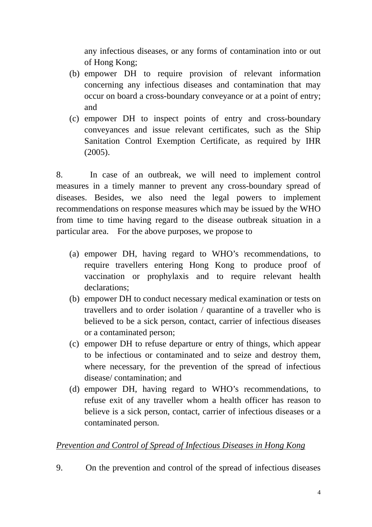any infectious diseases, or any forms of contamination into or out of Hong Kong;

- (b) empower DH to require provision of relevant information concerning any infectious diseases and contamination that may occur on board a cross-boundary conveyance or at a point of entry; and
- (c) empower DH to inspect points of entry and cross-boundary conveyances and issue relevant certificates, such as the Ship Sanitation Control Exemption Certificate, as required by IHR (2005).

8. In case of an outbreak, we will need to implement control measures in a timely manner to prevent any cross-boundary spread of diseases. Besides, we also need the legal powers to implement recommendations on response measures which may be issued by the WHO from time to time having regard to the disease outbreak situation in a particular area. For the above purposes, we propose to

- (a) empower DH, having regard to WHO's recommendations, to require travellers entering Hong Kong to produce proof of vaccination or prophylaxis and to require relevant health declarations;
- (b) empower DH to conduct necessary medical examination or tests on travellers and to order isolation / quarantine of a traveller who is believed to be a sick person, contact, carrier of infectious diseases or a contaminated person;
- (c) empower DH to refuse departure or entry of things, which appear to be infectious or contaminated and to seize and destroy them, where necessary, for the prevention of the spread of infectious disease/ contamination; and
- (d) empower DH, having regard to WHO's recommendations, to refuse exit of any traveller whom a health officer has reason to believe is a sick person, contact, carrier of infectious diseases or a contaminated person.

# *Prevention and Control of Spread of Infectious Diseases in Hong Kong*

9. On the prevention and control of the spread of infectious diseases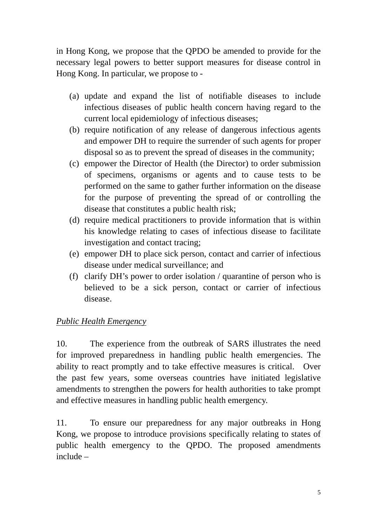in Hong Kong, we propose that the QPDO be amended to provide for the necessary legal powers to better support measures for disease control in Hong Kong. In particular, we propose to -

- (a) update and expand the list of notifiable diseases to include infectious diseases of public health concern having regard to the current local epidemiology of infectious diseases;
- (b) require notification of any release of dangerous infectious agents and empower DH to require the surrender of such agents for proper disposal so as to prevent the spread of diseases in the community;
- (c) empower the Director of Health (the Director) to order submission of specimens, organisms or agents and to cause tests to be performed on the same to gather further information on the disease for the purpose of preventing the spread of or controlling the disease that constitutes a public health risk;
- (d) require medical practitioners to provide information that is within his knowledge relating to cases of infectious disease to facilitate investigation and contact tracing;
- (e) empower DH to place sick person, contact and carrier of infectious disease under medical surveillance; and
- (f) clarify DH's power to order isolation / quarantine of person who is believed to be a sick person, contact or carrier of infectious disease.

# *Public Health Emergency*

10. The experience from the outbreak of SARS illustrates the need for improved preparedness in handling public health emergencies. The ability to react promptly and to take effective measures is critical. Over the past few years, some overseas countries have initiated legislative amendments to strengthen the powers for health authorities to take prompt and effective measures in handling public health emergency.

11. To ensure our preparedness for any major outbreaks in Hong Kong, we propose to introduce provisions specifically relating to states of public health emergency to the QPDO. The proposed amendments include –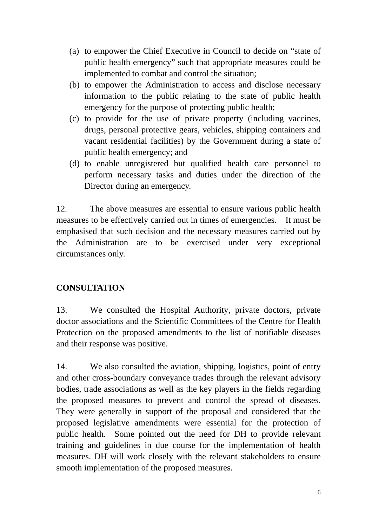- (a) to empower the Chief Executive in Council to decide on "state of public health emergency" such that appropriate measures could be implemented to combat and control the situation;
- (b) to empower the Administration to access and disclose necessary information to the public relating to the state of public health emergency for the purpose of protecting public health;
- (c) to provide for the use of private property (including vaccines, drugs, personal protective gears, vehicles, shipping containers and vacant residential facilities) by the Government during a state of public health emergency; and
- (d) to enable unregistered but qualified health care personnel to perform necessary tasks and duties under the direction of the Director during an emergency.

12. The above measures are essential to ensure various public health measures to be effectively carried out in times of emergencies. It must be emphasised that such decision and the necessary measures carried out by the Administration are to be exercised under very exceptional circumstances only.

# **CONSULTATION**

13. We consulted the Hospital Authority, private doctors, private doctor associations and the Scientific Committees of the Centre for Health Protection on the proposed amendments to the list of notifiable diseases and their response was positive.

14. We also consulted the aviation, shipping, logistics, point of entry and other cross-boundary conveyance trades through the relevant advisory bodies, trade associations as well as the key players in the fields regarding the proposed measures to prevent and control the spread of diseases. They were generally in support of the proposal and considered that the proposed legislative amendments were essential for the protection of public health. Some pointed out the need for DH to provide relevant training and guidelines in due course for the implementation of health measures. DH will work closely with the relevant stakeholders to ensure smooth implementation of the proposed measures.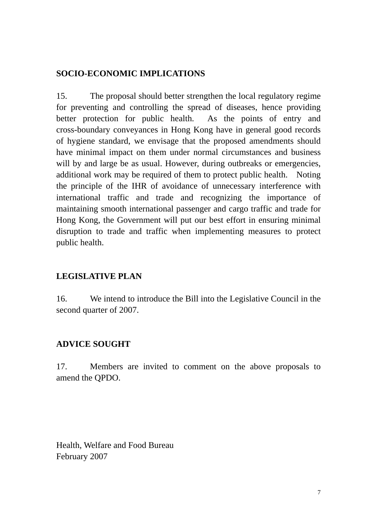# **SOCIO-ECONOMIC IMPLICATIONS**

15. The proposal should better strengthen the local regulatory regime for preventing and controlling the spread of diseases, hence providing better protection for public health. As the points of entry and cross-boundary conveyances in Hong Kong have in general good records of hygiene standard, we envisage that the proposed amendments should have minimal impact on them under normal circumstances and business will by and large be as usual. However, during outbreaks or emergencies, additional work may be required of them to protect public health. Noting the principle of the IHR of avoidance of unnecessary interference with international traffic and trade and recognizing the importance of maintaining smooth international passenger and cargo traffic and trade for Hong Kong, the Government will put our best effort in ensuring minimal disruption to trade and traffic when implementing measures to protect public health.

# **LEGISLATIVE PLAN**

16. We intend to introduce the Bill into the Legislative Council in the second quarter of 2007.

# **ADVICE SOUGHT**

17. Members are invited to comment on the above proposals to amend the QPDO.

Health, Welfare and Food Bureau February 2007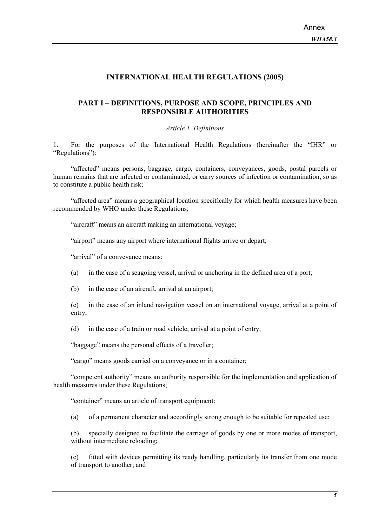### **INTERNATIONAL HEALTH REGULATIONS (2005)**

### **PART I – DEFINITIONS, PURPOSE AND SCOPE, PRINCIPLES AND RESPONSIBLE AUTHORITIES**

#### *Article 1 Definitions*

1. For the purposes of the International Health Regulations (hereinafter the "IHR" or "Regulations"):

 "affected" means persons, baggage, cargo, containers, conveyances, goods, postal parcels or human remains that are infected or contaminated, or carry sources of infection or contamination, so as to constitute a public health risk;

 "affected area" means a geographical location specifically for which health measures have been recommended by WHO under these Regulations;

"aircraft" means an aircraft making an international voyage;

"airport" means any airport where international flights arrive or depart;

"arrival" of a conveyance means:

(a) in the case of a seagoing vessel, arrival or anchoring in the defined area of a port;

(b) in the case of an aircraft, arrival at an airport;

(c) in the case of an inland navigation vessel on an international voyage, arrival at a point of entry;

(d) in the case of a train or road vehicle, arrival at a point of entry;

"baggage" means the personal effects of a traveller;

"cargo" means goods carried on a conveyance or in a container;

 "competent authority" means an authority responsible for the implementation and application of health measures under these Regulations;

"container" means an article of transport equipment:

(a) of a permanent character and accordingly strong enough to be suitable for repeated use;

(b) specially designed to facilitate the carriage of goods by one or more modes of transport, without intermediate reloading;

(c) fitted with devices permitting its ready handling, particularly its transfer from one mode of transport to another; and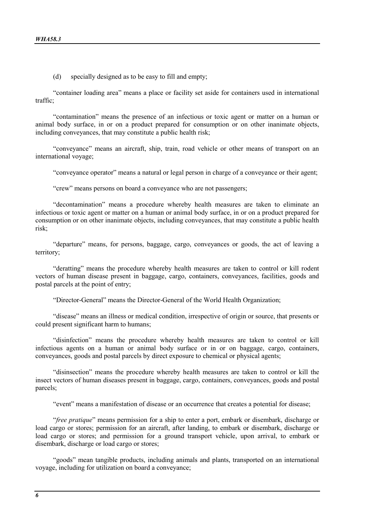(d) specially designed as to be easy to fill and empty;

 "container loading area" means a place or facility set aside for containers used in international traffic;

 "contamination" means the presence of an infectious or toxic agent or matter on a human or animal body surface, in or on a product prepared for consumption or on other inanimate objects, including conveyances, that may constitute a public health risk;

 "conveyance" means an aircraft, ship, train, road vehicle or other means of transport on an international voyage;

"conveyance operator" means a natural or legal person in charge of a conveyance or their agent;

"crew" means persons on board a conveyance who are not passengers;

 "decontamination" means a procedure whereby health measures are taken to eliminate an infectious or toxic agent or matter on a human or animal body surface, in or on a product prepared for consumption or on other inanimate objects, including conveyances, that may constitute a public health risk;

 "departure" means, for persons, baggage, cargo, conveyances or goods, the act of leaving a territory;

 "deratting" means the procedure whereby health measures are taken to control or kill rodent vectors of human disease present in baggage, cargo, containers, conveyances, facilities, goods and postal parcels at the point of entry;

"Director-General" means the Director-General of the World Health Organization;

 "disease" means an illness or medical condition, irrespective of origin or source, that presents or could present significant harm to humans;

 "disinfection" means the procedure whereby health measures are taken to control or kill infectious agents on a human or animal body surface or in or on baggage, cargo, containers, conveyances, goods and postal parcels by direct exposure to chemical or physical agents;

 "disinsection" means the procedure whereby health measures are taken to control or kill the insect vectors of human diseases present in baggage, cargo, containers, conveyances, goods and postal parcels;

"event" means a manifestation of disease or an occurrence that creates a potential for disease;

 "*free pratique*" means permission for a ship to enter a port, embark or disembark, discharge or load cargo or stores; permission for an aircraft, after landing, to embark or disembark, discharge or load cargo or stores; and permission for a ground transport vehicle, upon arrival, to embark or disembark, discharge or load cargo or stores;

 "goods" mean tangible products, including animals and plants, transported on an international voyage, including for utilization on board a conveyance;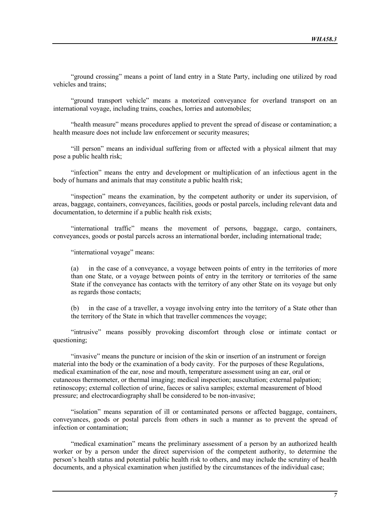"ground crossing" means a point of land entry in a State Party, including one utilized by road vehicles and trains;

 "ground transport vehicle" means a motorized conveyance for overland transport on an international voyage, including trains, coaches, lorries and automobiles;

 "health measure" means procedures applied to prevent the spread of disease or contamination; a health measure does not include law enforcement or security measures;

 "ill person" means an individual suffering from or affected with a physical ailment that may pose a public health risk;

 "infection" means the entry and development or multiplication of an infectious agent in the body of humans and animals that may constitute a public health risk;

 "inspection" means the examination, by the competent authority or under its supervision, of areas, baggage, containers, conveyances, facilities, goods or postal parcels, including relevant data and documentation, to determine if a public health risk exists;

 "international traffic" means the movement of persons, baggage, cargo, containers, conveyances, goods or postal parcels across an international border, including international trade;

"international voyage" means:

(a) in the case of a conveyance, a voyage between points of entry in the territories of more than one State, or a voyage between points of entry in the territory or territories of the same State if the conveyance has contacts with the territory of any other State on its voyage but only as regards those contacts;

(b) in the case of a traveller, a voyage involving entry into the territory of a State other than the territory of the State in which that traveller commences the voyage;

 "intrusive" means possibly provoking discomfort through close or intimate contact or questioning;

 "invasive" means the puncture or incision of the skin or insertion of an instrument or foreign material into the body or the examination of a body cavity. For the purposes of these Regulations, medical examination of the ear, nose and mouth, temperature assessment using an ear, oral or cutaneous thermometer, or thermal imaging; medical inspection; auscultation; external palpation; retinoscopy; external collection of urine, faeces or saliva samples; external measurement of blood pressure; and electrocardiography shall be considered to be non-invasive;

 "isolation" means separation of ill or contaminated persons or affected baggage, containers, conveyances, goods or postal parcels from others in such a manner as to prevent the spread of infection or contamination;

 "medical examination" means the preliminary assessment of a person by an authorized health worker or by a person under the direct supervision of the competent authority, to determine the person's health status and potential public health risk to others, and may include the scrutiny of health documents, and a physical examination when justified by the circumstances of the individual case;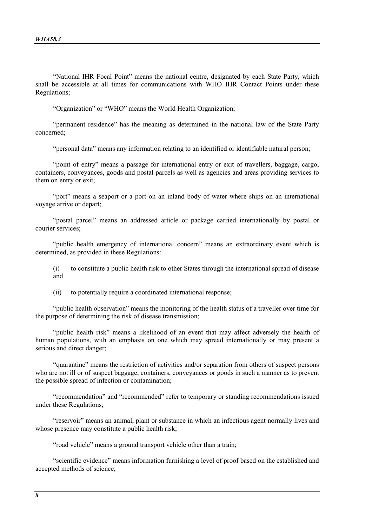"National IHR Focal Point" means the national centre, designated by each State Party, which shall be accessible at all times for communications with WHO IHR Contact Points under these Regulations;

"Organization" or "WHO" means the World Health Organization;

 "permanent residence" has the meaning as determined in the national law of the State Party concerned;

"personal data" means any information relating to an identified or identifiable natural person;

 "point of entry" means a passage for international entry or exit of travellers, baggage, cargo, containers, conveyances, goods and postal parcels as well as agencies and areas providing services to them on entry or exit;

 "port" means a seaport or a port on an inland body of water where ships on an international voyage arrive or depart;

 "postal parcel" means an addressed article or package carried internationally by postal or courier services;

 "public health emergency of international concern" means an extraordinary event which is determined, as provided in these Regulations:

(i) to constitute a public health risk to other States through the international spread of disease and

(ii) to potentially require a coordinated international response;

 "public health observation" means the monitoring of the health status of a traveller over time for the purpose of determining the risk of disease transmission;

 "public health risk" means a likelihood of an event that may affect adversely the health of human populations, with an emphasis on one which may spread internationally or may present a serious and direct danger;

 "quarantine" means the restriction of activities and/or separation from others of suspect persons who are not ill or of suspect baggage, containers, conveyances or goods in such a manner as to prevent the possible spread of infection or contamination;

 "recommendation" and "recommended" refer to temporary or standing recommendations issued under these Regulations;

 "reservoir" means an animal, plant or substance in which an infectious agent normally lives and whose presence may constitute a public health risk;

"road vehicle" means a ground transport vehicle other than a train;

 "scientific evidence" means information furnishing a level of proof based on the established and accepted methods of science;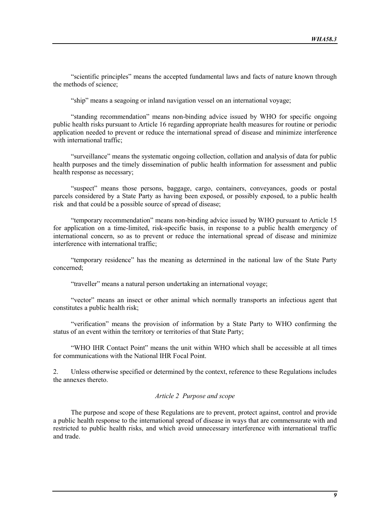"scientific principles" means the accepted fundamental laws and facts of nature known through the methods of science;

"ship" means a seagoing or inland navigation vessel on an international voyage;

 "standing recommendation" means non-binding advice issued by WHO for specific ongoing public health risks pursuant to Article 16 regarding appropriate health measures for routine or periodic application needed to prevent or reduce the international spread of disease and minimize interference with international traffic;

 "surveillance" means the systematic ongoing collection, collation and analysis of data for public health purposes and the timely dissemination of public health information for assessment and public health response as necessary;

 "suspect" means those persons, baggage, cargo, containers, conveyances, goods or postal parcels considered by a State Party as having been exposed, or possibly exposed, to a public health risk and that could be a possible source of spread of disease;

 "temporary recommendation" means non-binding advice issued by WHO pursuant to Article 15 for application on a time-limited, risk-specific basis, in response to a public health emergency of international concern, so as to prevent or reduce the international spread of disease and minimize interference with international traffic;

 "temporary residence" has the meaning as determined in the national law of the State Party concerned;

"traveller" means a natural person undertaking an international voyage;

 "vector" means an insect or other animal which normally transports an infectious agent that constitutes a public health risk;

 "verification" means the provision of information by a State Party to WHO confirming the status of an event within the territory or territories of that State Party;

 "WHO IHR Contact Point" means the unit within WHO which shall be accessible at all times for communications with the National IHR Focal Point.

2. Unless otherwise specified or determined by the context, reference to these Regulations includes the annexes thereto.

#### *Article 2 Purpose and scope*

 The purpose and scope of these Regulations are to prevent, protect against, control and provide a public health response to the international spread of disease in ways that are commensurate with and restricted to public health risks, and which avoid unnecessary interference with international traffic and trade.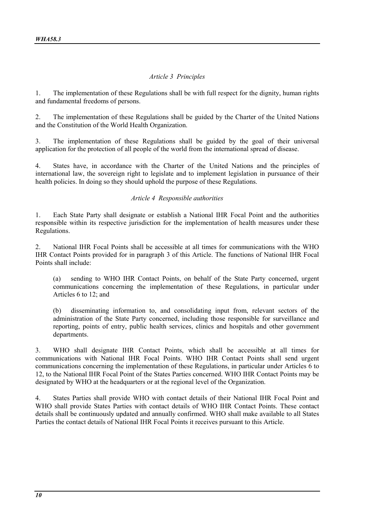### *Article 3 Principles*

1. The implementation of these Regulations shall be with full respect for the dignity, human rights and fundamental freedoms of persons.

2. The implementation of these Regulations shall be guided by the Charter of the United Nations and the Constitution of the World Health Organization.

3. The implementation of these Regulations shall be guided by the goal of their universal application for the protection of all people of the world from the international spread of disease.

4. States have, in accordance with the Charter of the United Nations and the principles of international law, the sovereign right to legislate and to implement legislation in pursuance of their health policies. In doing so they should uphold the purpose of these Regulations.

#### *Article 4 Responsible authorities*

1. Each State Party shall designate or establish a National IHR Focal Point and the authorities responsible within its respective jurisdiction for the implementation of health measures under these Regulations.

2. National IHR Focal Points shall be accessible at all times for communications with the WHO IHR Contact Points provided for in paragraph 3 of this Article. The functions of National IHR Focal Points shall include:

(a) sending to WHO IHR Contact Points, on behalf of the State Party concerned, urgent communications concerning the implementation of these Regulations, in particular under Articles 6 to 12; and

(b) disseminating information to, and consolidating input from, relevant sectors of the administration of the State Party concerned, including those responsible for surveillance and reporting, points of entry, public health services, clinics and hospitals and other government departments.

3. WHO shall designate IHR Contact Points, which shall be accessible at all times for communications with National IHR Focal Points. WHO IHR Contact Points shall send urgent communications concerning the implementation of these Regulations, in particular under Articles 6 to 12, to the National IHR Focal Point of the States Parties concerned. WHO IHR Contact Points may be designated by WHO at the headquarters or at the regional level of the Organization.

4. States Parties shall provide WHO with contact details of their National IHR Focal Point and WHO shall provide States Parties with contact details of WHO IHR Contact Points. These contact details shall be continuously updated and annually confirmed. WHO shall make available to all States Parties the contact details of National IHR Focal Points it receives pursuant to this Article.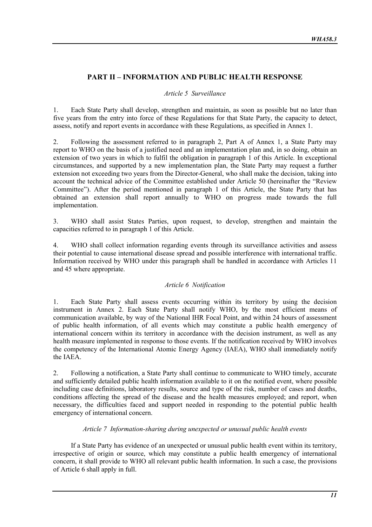### **PART II – INFORMATION AND PUBLIC HEALTH RESPONSE**

#### *Article 5 Surveillance*

1. Each State Party shall develop, strengthen and maintain, as soon as possible but no later than five years from the entry into force of these Regulations for that State Party, the capacity to detect, assess, notify and report events in accordance with these Regulations, as specified in Annex 1.

2. Following the assessment referred to in paragraph 2, Part A of Annex 1, a State Party may report to WHO on the basis of a justified need and an implementation plan and, in so doing, obtain an extension of two years in which to fulfil the obligation in paragraph 1 of this Article. In exceptional circumstances, and supported by a new implementation plan, the State Party may request a further extension not exceeding two years from the Director-General, who shall make the decision, taking into account the technical advice of the Committee established under Article 50 (hereinafter the "Review Committee"). After the period mentioned in paragraph 1 of this Article, the State Party that has obtained an extension shall report annually to WHO on progress made towards the full implementation.

3. WHO shall assist States Parties, upon request, to develop, strengthen and maintain the capacities referred to in paragraph 1 of this Article.

4. WHO shall collect information regarding events through its surveillance activities and assess their potential to cause international disease spread and possible interference with international traffic. Information received by WHO under this paragraph shall be handled in accordance with Articles 11 and 45 where appropriate.

### *Article 6 Notification*

1. Each State Party shall assess events occurring within its territory by using the decision instrument in Annex 2. Each State Party shall notify WHO, by the most efficient means of communication available, by way of the National IHR Focal Point, and within 24 hours of assessment of public health information, of all events which may constitute a public health emergency of international concern within its territory in accordance with the decision instrument, as well as any health measure implemented in response to those events. If the notification received by WHO involves the competency of the International Atomic Energy Agency (IAEA), WHO shall immediately notify the IAEA.

2. Following a notification, a State Party shall continue to communicate to WHO timely, accurate and sufficiently detailed public health information available to it on the notified event, where possible including case definitions, laboratory results, source and type of the risk, number of cases and deaths, conditions affecting the spread of the disease and the health measures employed; and report, when necessary, the difficulties faced and support needed in responding to the potential public health emergency of international concern.

#### *Article 7 Information-sharing during unexpected or unusual public health events*

 If a State Party has evidence of an unexpected or unusual public health event within its territory, irrespective of origin or source, which may constitute a public health emergency of international concern, it shall provide to WHO all relevant public health information. In such a case, the provisions of Article 6 shall apply in full.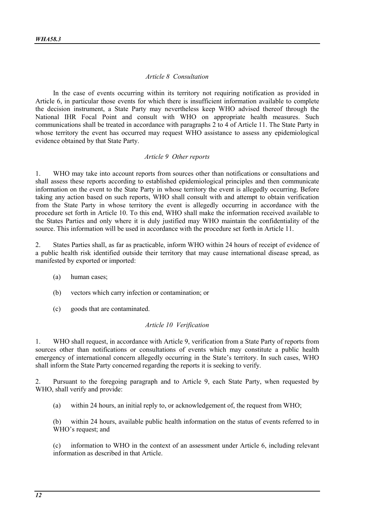#### *Article 8 Consultation*

 In the case of events occurring within its territory not requiring notification as provided in Article 6, in particular those events for which there is insufficient information available to complete the decision instrument, a State Party may nevertheless keep WHO advised thereof through the National IHR Focal Point and consult with WHO on appropriate health measures. Such communications shall be treated in accordance with paragraphs 2 to 4 of Article 11. The State Party in whose territory the event has occurred may request WHO assistance to assess any epidemiological evidence obtained by that State Party.

#### *Article 9 Other reports*

1. WHO may take into account reports from sources other than notifications or consultations and shall assess these reports according to established epidemiological principles and then communicate information on the event to the State Party in whose territory the event is allegedly occurring. Before taking any action based on such reports, WHO shall consult with and attempt to obtain verification from the State Party in whose territory the event is allegedly occurring in accordance with the procedure set forth in Article 10. To this end, WHO shall make the information received available to the States Parties and only where it is duly justified may WHO maintain the confidentiality of the source. This information will be used in accordance with the procedure set forth in Article 11.

2. States Parties shall, as far as practicable, inform WHO within 24 hours of receipt of evidence of a public health risk identified outside their territory that may cause international disease spread, as manifested by exported or imported:

- (a) human cases;
- (b) vectors which carry infection or contamination; or
- (c) goods that are contaminated.

#### *Article 10 Verification*

1. WHO shall request, in accordance with Article 9, verification from a State Party of reports from sources other than notifications or consultations of events which may constitute a public health emergency of international concern allegedly occurring in the State's territory. In such cases, WHO shall inform the State Party concerned regarding the reports it is seeking to verify.

2. Pursuant to the foregoing paragraph and to Article 9, each State Party, when requested by WHO, shall verify and provide:

(a) within 24 hours, an initial reply to, or acknowledgement of, the request from WHO;

(b) within 24 hours, available public health information on the status of events referred to in WHO's request; and

(c) information to WHO in the context of an assessment under Article 6, including relevant information as described in that Article.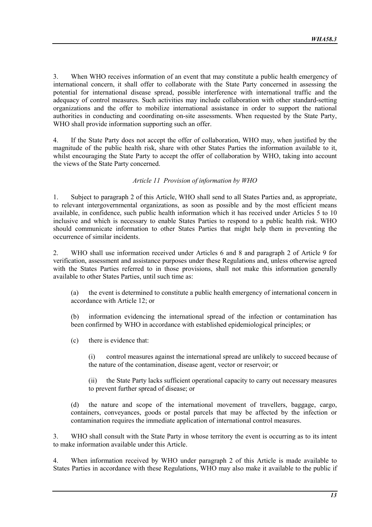3. When WHO receives information of an event that may constitute a public health emergency of international concern, it shall offer to collaborate with the State Party concerned in assessing the potential for international disease spread, possible interference with international traffic and the adequacy of control measures. Such activities may include collaboration with other standard-setting organizations and the offer to mobilize international assistance in order to support the national authorities in conducting and coordinating on-site assessments. When requested by the State Party, WHO shall provide information supporting such an offer.

4. If the State Party does not accept the offer of collaboration, WHO may, when justified by the magnitude of the public health risk, share with other States Parties the information available to it, whilst encouraging the State Party to accept the offer of collaboration by WHO, taking into account the views of the State Party concerned.

#### *Article 11 Provision of information by WHO*

1. Subject to paragraph 2 of this Article, WHO shall send to all States Parties and, as appropriate, to relevant intergovernmental organizations, as soon as possible and by the most efficient means available, in confidence, such public health information which it has received under Articles 5 to 10 inclusive and which is necessary to enable States Parties to respond to a public health risk. WHO should communicate information to other States Parties that might help them in preventing the occurrence of similar incidents.

2. WHO shall use information received under Articles 6 and 8 and paragraph 2 of Article 9 for verification, assessment and assistance purposes under these Regulations and, unless otherwise agreed with the States Parties referred to in those provisions, shall not make this information generally available to other States Parties, until such time as:

(a) the event is determined to constitute a public health emergency of international concern in accordance with Article 12; or

(b) information evidencing the international spread of the infection or contamination has been confirmed by WHO in accordance with established epidemiological principles; or

(c) there is evidence that:

(i) control measures against the international spread are unlikely to succeed because of the nature of the contamination, disease agent, vector or reservoir; or

(ii) the State Party lacks sufficient operational capacity to carry out necessary measures to prevent further spread of disease; or

(d) the nature and scope of the international movement of travellers, baggage, cargo, containers, conveyances, goods or postal parcels that may be affected by the infection or contamination requires the immediate application of international control measures.

3. WHO shall consult with the State Party in whose territory the event is occurring as to its intent to make information available under this Article.

4. When information received by WHO under paragraph 2 of this Article is made available to States Parties in accordance with these Regulations, WHO may also make it available to the public if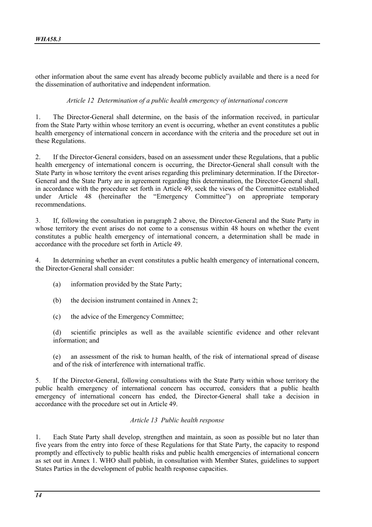other information about the same event has already become publicly available and there is a need for the dissemination of authoritative and independent information.

### *Article 12 Determination of a public health emergency of international concern*

1. The Director-General shall determine, on the basis of the information received, in particular from the State Party within whose territory an event is occurring, whether an event constitutes a public health emergency of international concern in accordance with the criteria and the procedure set out in these Regulations.

2. If the Director-General considers, based on an assessment under these Regulations, that a public health emergency of international concern is occurring, the Director-General shall consult with the State Party in whose territory the event arises regarding this preliminary determination. If the Director-General and the State Party are in agreement regarding this determination, the Director-General shall, in accordance with the procedure set forth in Article 49, seek the views of the Committee established under Article 48 (hereinafter the "Emergency Committee") on appropriate temporary recommendations.

3. If, following the consultation in paragraph 2 above, the Director-General and the State Party in whose territory the event arises do not come to a consensus within 48 hours on whether the event constitutes a public health emergency of international concern, a determination shall be made in accordance with the procedure set forth in Article 49.

4. In determining whether an event constitutes a public health emergency of international concern, the Director-General shall consider:

- (a) information provided by the State Party;
- (b) the decision instrument contained in Annex 2;
- (c) the advice of the Emergency Committee;

(d) scientific principles as well as the available scientific evidence and other relevant information; and

(e) an assessment of the risk to human health, of the risk of international spread of disease and of the risk of interference with international traffic.

5. If the Director-General, following consultations with the State Party within whose territory the public health emergency of international concern has occurred, considers that a public health emergency of international concern has ended, the Director-General shall take a decision in accordance with the procedure set out in Article 49.

#### *Article 13 Public health response*

1. Each State Party shall develop, strengthen and maintain, as soon as possible but no later than five years from the entry into force of these Regulations for that State Party, the capacity to respond promptly and effectively to public health risks and public health emergencies of international concern as set out in Annex 1. WHO shall publish, in consultation with Member States, guidelines to support States Parties in the development of public health response capacities.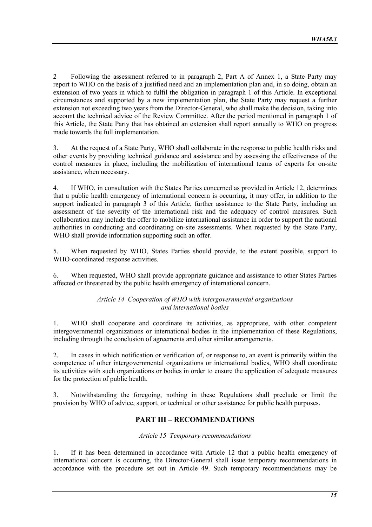2 Following the assessment referred to in paragraph 2, Part A of Annex 1, a State Party may report to WHO on the basis of a justified need and an implementation plan and, in so doing, obtain an extension of two years in which to fulfil the obligation in paragraph 1 of this Article. In exceptional circumstances and supported by a new implementation plan, the State Party may request a further extension not exceeding two years from the Director-General, who shall make the decision, taking into account the technical advice of the Review Committee. After the period mentioned in paragraph 1 of this Article, the State Party that has obtained an extension shall report annually to WHO on progress made towards the full implementation.

3. At the request of a State Party, WHO shall collaborate in the response to public health risks and other events by providing technical guidance and assistance and by assessing the effectiveness of the control measures in place, including the mobilization of international teams of experts for on-site assistance, when necessary.

4. If WHO, in consultation with the States Parties concerned as provided in Article 12, determines that a public health emergency of international concern is occurring, it may offer, in addition to the support indicated in paragraph 3 of this Article, further assistance to the State Party, including an assessment of the severity of the international risk and the adequacy of control measures. Such collaboration may include the offer to mobilize international assistance in order to support the national authorities in conducting and coordinating on-site assessments. When requested by the State Party, WHO shall provide information supporting such an offer.

5. When requested by WHO, States Parties should provide, to the extent possible, support to WHO-coordinated response activities.

6. When requested, WHO shall provide appropriate guidance and assistance to other States Parties affected or threatened by the public health emergency of international concern.

#### *Article 14 Cooperation of WHO with intergovernmental organizations and international bodies*

1. WHO shall cooperate and coordinate its activities, as appropriate, with other competent intergovernmental organizations or international bodies in the implementation of these Regulations, including through the conclusion of agreements and other similar arrangements.

2. In cases in which notification or verification of, or response to, an event is primarily within the competence of other intergovernmental organizations or international bodies, WHO shall coordinate its activities with such organizations or bodies in order to ensure the application of adequate measures for the protection of public health.

3. Notwithstanding the foregoing, nothing in these Regulations shall preclude or limit the provision by WHO of advice, support, or technical or other assistance for public health purposes.

### **PART III – RECOMMENDATIONS**

*Article 15 Temporary recommendations* 

1. If it has been determined in accordance with Article 12 that a public health emergency of international concern is occurring, the Director-General shall issue temporary recommendations in accordance with the procedure set out in Article 49. Such temporary recommendations may be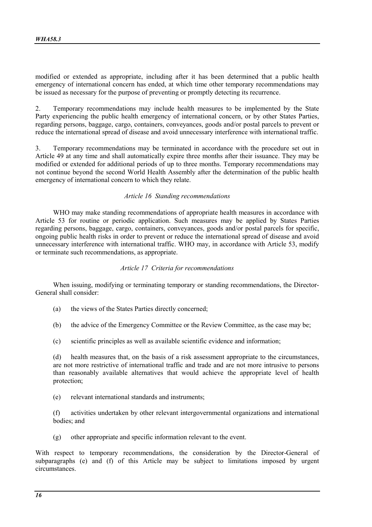modified or extended as appropriate, including after it has been determined that a public health emergency of international concern has ended, at which time other temporary recommendations may be issued as necessary for the purpose of preventing or promptly detecting its recurrence.

2. Temporary recommendations may include health measures to be implemented by the State Party experiencing the public health emergency of international concern, or by other States Parties, regarding persons, baggage, cargo, containers, conveyances, goods and/or postal parcels to prevent or reduce the international spread of disease and avoid unnecessary interference with international traffic.

3. Temporary recommendations may be terminated in accordance with the procedure set out in Article 49 at any time and shall automatically expire three months after their issuance. They may be modified or extended for additional periods of up to three months. Temporary recommendations may not continue beyond the second World Health Assembly after the determination of the public health emergency of international concern to which they relate.

#### *Article 16 Standing recommendations*

WHO may make standing recommendations of appropriate health measures in accordance with Article 53 for routine or periodic application. Such measures may be applied by States Parties regarding persons, baggage, cargo, containers, conveyances, goods and/or postal parcels for specific, ongoing public health risks in order to prevent or reduce the international spread of disease and avoid unnecessary interference with international traffic. WHO may, in accordance with Article 53, modify or terminate such recommendations, as appropriate.

#### *Article 17 Criteria for recommendations*

 When issuing, modifying or terminating temporary or standing recommendations, the Director-General shall consider:

- (a) the views of the States Parties directly concerned;
- (b) the advice of the Emergency Committee or the Review Committee, as the case may be;
- (c) scientific principles as well as available scientific evidence and information;

(d) health measures that, on the basis of a risk assessment appropriate to the circumstances, are not more restrictive of international traffic and trade and are not more intrusive to persons than reasonably available alternatives that would achieve the appropriate level of health protection;

(e) relevant international standards and instruments;

(f) activities undertaken by other relevant intergovernmental organizations and international bodies; and

(g) other appropriate and specific information relevant to the event.

With respect to temporary recommendations, the consideration by the Director-General of subparagraphs (e) and (f) of this Article may be subject to limitations imposed by urgent circumstances.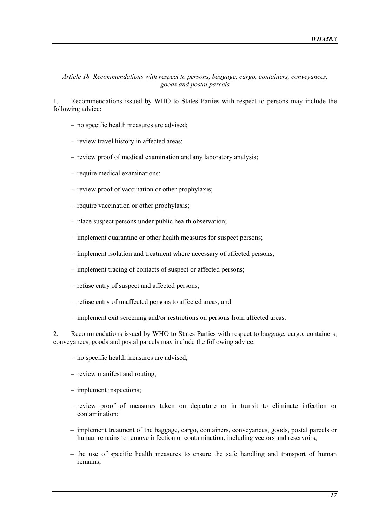*Article 18 Recommendations with respect to persons, baggage, cargo, containers, conveyances, goods and postal parcels* 

1. Recommendations issued by WHO to States Parties with respect to persons may include the following advice:

- no specific health measures are advised;
- review travel history in affected areas;
- review proof of medical examination and any laboratory analysis;
- require medical examinations;
- review proof of vaccination or other prophylaxis;
- require vaccination or other prophylaxis;
- place suspect persons under public health observation;
- implement quarantine or other health measures for suspect persons;
- implement isolation and treatment where necessary of affected persons;
- implement tracing of contacts of suspect or affected persons;
- refuse entry of suspect and affected persons;
- refuse entry of unaffected persons to affected areas; and
- implement exit screening and/or restrictions on persons from affected areas.

2. Recommendations issued by WHO to States Parties with respect to baggage, cargo, containers, conveyances, goods and postal parcels may include the following advice:

- no specific health measures are advised;
- review manifest and routing;
- implement inspections;
- review proof of measures taken on departure or in transit to eliminate infection or contamination;
- implement treatment of the baggage, cargo, containers, conveyances, goods, postal parcels or human remains to remove infection or contamination, including vectors and reservoirs;
- the use of specific health measures to ensure the safe handling and transport of human remains;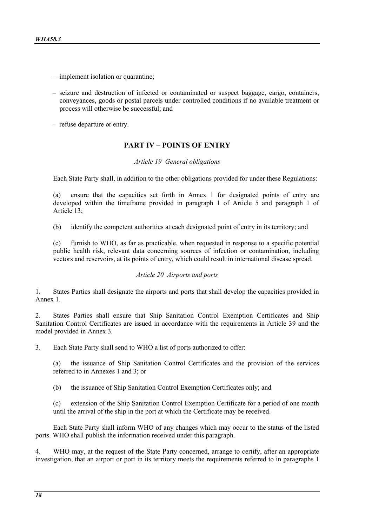- implement isolation or quarantine;
- seizure and destruction of infected or contaminated or suspect baggage, cargo, containers, conveyances, goods or postal parcels under controlled conditions if no available treatment or process will otherwise be successful; and

– refuse departure or entry.

### **PART IV – POINTS OF ENTRY**

#### *Article 19 General obligations*

Each State Party shall, in addition to the other obligations provided for under these Regulations:

(a) ensure that the capacities set forth in Annex 1 for designated points of entry are developed within the timeframe provided in paragraph 1 of Article 5 and paragraph 1 of Article  $13<sup>°</sup>$ 

(b) identify the competent authorities at each designated point of entry in its territory; and

(c) furnish to WHO, as far as practicable, when requested in response to a specific potential public health risk, relevant data concerning sources of infection or contamination, including vectors and reservoirs, at its points of entry, which could result in international disease spread.

#### *Article 20 Airports and ports*

1. States Parties shall designate the airports and ports that shall develop the capacities provided in Annex 1.

2. States Parties shall ensure that Ship Sanitation Control Exemption Certificates and Ship Sanitation Control Certificates are issued in accordance with the requirements in Article 39 and the model provided in Annex 3.

3. Each State Party shall send to WHO a list of ports authorized to offer:

 (a) the issuance of Ship Sanitation Control Certificates and the provision of the services referred to in Annexes 1 and 3; or

(b) the issuance of Ship Sanitation Control Exemption Certificates only; and

(c) extension of the Ship Sanitation Control Exemption Certificate for a period of one month until the arrival of the ship in the port at which the Certificate may be received.

Each State Party shall inform WHO of any changes which may occur to the status of the listed ports. WHO shall publish the information received under this paragraph.

4. WHO may, at the request of the State Party concerned, arrange to certify, after an appropriate investigation, that an airport or port in its territory meets the requirements referred to in paragraphs 1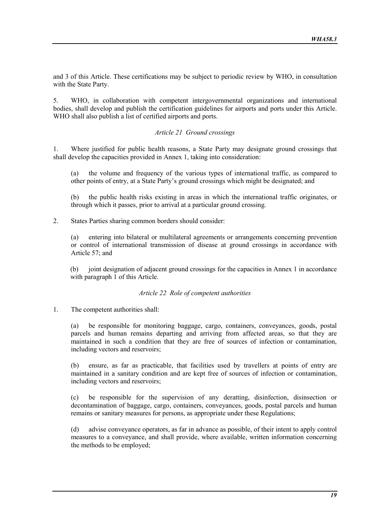and 3 of this Article. These certifications may be subject to periodic review by WHO, in consultation with the State Party.

5. WHO, in collaboration with competent intergovernmental organizations and international bodies, shall develop and publish the certification guidelines for airports and ports under this Article. WHO shall also publish a list of certified airports and ports.

#### *Article 21 Ground crossings*

1. Where justified for public health reasons, a State Party may designate ground crossings that shall develop the capacities provided in Annex 1, taking into consideration:

(a) the volume and frequency of the various types of international traffic, as compared to other points of entry, at a State Party's ground crossings which might be designated; and

(b) the public health risks existing in areas in which the international traffic originates, or through which it passes, prior to arrival at a particular ground crossing.

2. States Parties sharing common borders should consider:

(a) entering into bilateral or multilateral agreements or arrangements concerning prevention or control of international transmission of disease at ground crossings in accordance with Article 57; and

(b) joint designation of adjacent ground crossings for the capacities in Annex 1 in accordance with paragraph 1 of this Article.

#### *Article 22 Role of competent authorities*

#### 1. The competent authorities shall:

(a) be responsible for monitoring baggage, cargo, containers, conveyances, goods, postal parcels and human remains departing and arriving from affected areas, so that they are maintained in such a condition that they are free of sources of infection or contamination, including vectors and reservoirs;

(b) ensure, as far as practicable, that facilities used by travellers at points of entry are maintained in a sanitary condition and are kept free of sources of infection or contamination, including vectors and reservoirs;

(c) be responsible for the supervision of any deratting, disinfection, disinsection or decontamination of baggage, cargo, containers, conveyances, goods, postal parcels and human remains or sanitary measures for persons, as appropriate under these Regulations;

(d) advise conveyance operators, as far in advance as possible, of their intent to apply control measures to a conveyance, and shall provide, where available, written information concerning the methods to be employed;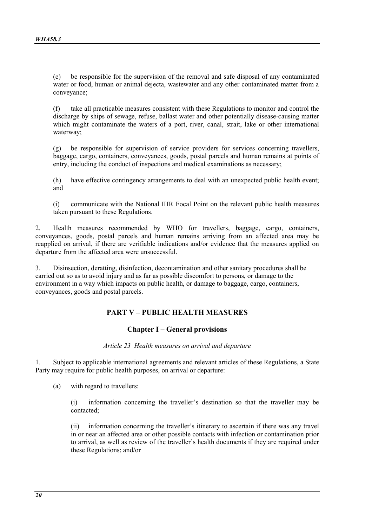(e) be responsible for the supervision of the removal and safe disposal of any contaminated water or food, human or animal dejecta, wastewater and any other contaminated matter from a conveyance;

(f) take all practicable measures consistent with these Regulations to monitor and control the discharge by ships of sewage, refuse, ballast water and other potentially disease-causing matter which might contaminate the waters of a port, river, canal, strait, lake or other international waterway;

(g) be responsible for supervision of service providers for services concerning travellers, baggage, cargo, containers, conveyances, goods, postal parcels and human remains at points of entry, including the conduct of inspections and medical examinations as necessary;

(h) have effective contingency arrangements to deal with an unexpected public health event; and

(i) communicate with the National IHR Focal Point on the relevant public health measures taken pursuant to these Regulations.

2. Health measures recommended by WHO for travellers, baggage, cargo, containers, conveyances, goods, postal parcels and human remains arriving from an affected area may be reapplied on arrival, if there are verifiable indications and/or evidence that the measures applied on departure from the affected area were unsuccessful.

3. Disinsection, deratting, disinfection, decontamination and other sanitary procedures shall be carried out so as to avoid injury and as far as possible discomfort to persons, or damage to the environment in a way which impacts on public health, or damage to baggage, cargo, containers, conveyances, goods and postal parcels.

### **PART V – PUBLIC HEALTH MEASURES**

### **Chapter I – General provisions**

#### *Article 23 Health measures on arrival and departure*

1. Subject to applicable international agreements and relevant articles of these Regulations, a State Party may require for public health purposes, on arrival or departure:

(a) with regard to travellers:

(i) information concerning the traveller's destination so that the traveller may be contacted;

 (ii) information concerning the traveller's itinerary to ascertain if there was any travel in or near an affected area or other possible contacts with infection or contamination prior to arrival, as well as review of the traveller's health documents if they are required under these Regulations; and/or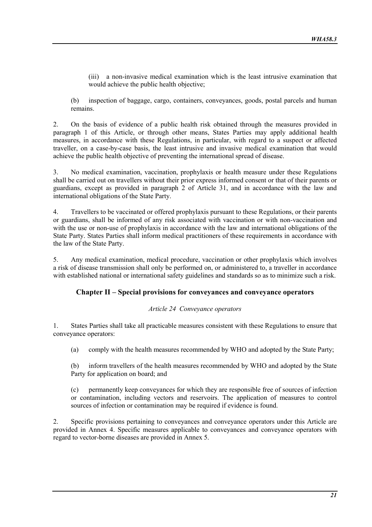(iii) a non-invasive medical examination which is the least intrusive examination that would achieve the public health objective;

(b) inspection of baggage, cargo, containers, conveyances, goods, postal parcels and human remains.

2. On the basis of evidence of a public health risk obtained through the measures provided in paragraph 1 of this Article, or through other means, States Parties may apply additional health measures, in accordance with these Regulations, in particular, with regard to a suspect or affected traveller, on a case-by-case basis, the least intrusive and invasive medical examination that would achieve the public health objective of preventing the international spread of disease.

3. No medical examination, vaccination, prophylaxis or health measure under these Regulations shall be carried out on travellers without their prior express informed consent or that of their parents or guardians, except as provided in paragraph 2 of Article 31, and in accordance with the law and international obligations of the State Party.

4. Travellers to be vaccinated or offered prophylaxis pursuant to these Regulations, or their parents or guardians, shall be informed of any risk associated with vaccination or with non-vaccination and with the use or non-use of prophylaxis in accordance with the law and international obligations of the State Party. States Parties shall inform medical practitioners of these requirements in accordance with the law of the State Party.

5. Any medical examination, medical procedure, vaccination or other prophylaxis which involves a risk of disease transmission shall only be performed on, or administered to, a traveller in accordance with established national or international safety guidelines and standards so as to minimize such a risk.

### **Chapter II – Special provisions for conveyances and conveyance operators**

### *Article 24 Conveyance operators*

1. States Parties shall take all practicable measures consistent with these Regulations to ensure that conveyance operators:

(a) comply with the health measures recommended by WHO and adopted by the State Party;

(b) inform travellers of the health measures recommended by WHO and adopted by the State Party for application on board; and

(c) permanently keep conveyances for which they are responsible free of sources of infection or contamination, including vectors and reservoirs. The application of measures to control sources of infection or contamination may be required if evidence is found.

2. Specific provisions pertaining to conveyances and conveyance operators under this Article are provided in Annex 4. Specific measures applicable to conveyances and conveyance operators with regard to vector-borne diseases are provided in Annex 5.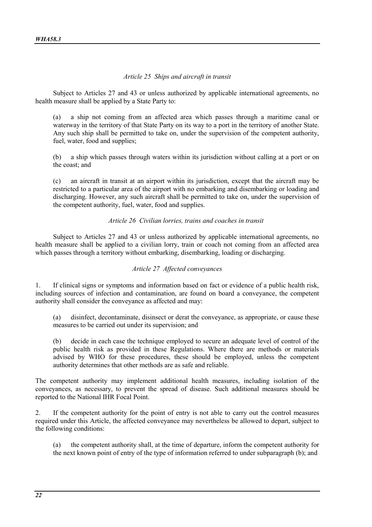#### *Article 25 Ships and aircraft in transit*

Subject to Articles 27 and 43 or unless authorized by applicable international agreements, no health measure shall be applied by a State Party to:

(a) a ship not coming from an affected area which passes through a maritime canal or waterway in the territory of that State Party on its way to a port in the territory of another State. Any such ship shall be permitted to take on, under the supervision of the competent authority, fuel, water, food and supplies;

(b) a ship which passes through waters within its jurisdiction without calling at a port or on the coast; and

(c) an aircraft in transit at an airport within its jurisdiction, except that the aircraft may be restricted to a particular area of the airport with no embarking and disembarking or loading and discharging. However, any such aircraft shall be permitted to take on, under the supervision of the competent authority, fuel, water, food and supplies.

#### *Article 26 Civilian lorries, trains and coaches in transit*

Subject to Articles 27 and 43 or unless authorized by applicable international agreements, no health measure shall be applied to a civilian lorry, train or coach not coming from an affected area which passes through a territory without embarking, disembarking, loading or discharging.

### *Article 27 Affected conveyances*

1. If clinical signs or symptoms and information based on fact or evidence of a public health risk, including sources of infection and contamination, are found on board a conveyance, the competent authority shall consider the conveyance as affected and may:

(a) disinfect, decontaminate, disinsect or derat the conveyance, as appropriate, or cause these measures to be carried out under its supervision; and

(b) decide in each case the technique employed to secure an adequate level of control of the public health risk as provided in these Regulations. Where there are methods or materials advised by WHO for these procedures, these should be employed, unless the competent authority determines that other methods are as safe and reliable.

The competent authority may implement additional health measures, including isolation of the conveyances, as necessary, to prevent the spread of disease. Such additional measures should be reported to the National IHR Focal Point.

2. If the competent authority for the point of entry is not able to carry out the control measures required under this Article, the affected conveyance may nevertheless be allowed to depart, subject to the following conditions:

(a) the competent authority shall, at the time of departure, inform the competent authority for the next known point of entry of the type of information referred to under subparagraph (b); and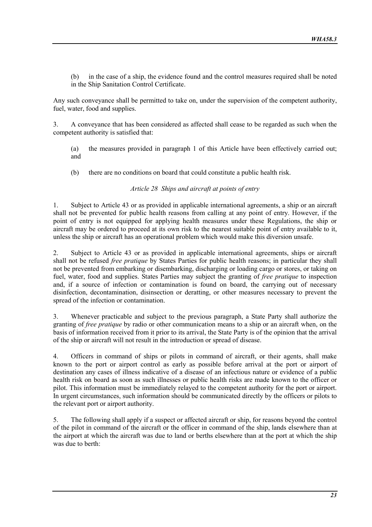(b) in the case of a ship, the evidence found and the control measures required shall be noted in the Ship Sanitation Control Certificate.

Any such conveyance shall be permitted to take on, under the supervision of the competent authority, fuel, water, food and supplies.

3. A conveyance that has been considered as affected shall cease to be regarded as such when the competent authority is satisfied that:

(a) the measures provided in paragraph 1 of this Article have been effectively carried out; and

(b) there are no conditions on board that could constitute a public health risk.

### *Article 28 Ships and aircraft at points of entry*

1. Subject to Article 43 or as provided in applicable international agreements, a ship or an aircraft shall not be prevented for public health reasons from calling at any point of entry. However, if the point of entry is not equipped for applying health measures under these Regulations, the ship or aircraft may be ordered to proceed at its own risk to the nearest suitable point of entry available to it, unless the ship or aircraft has an operational problem which would make this diversion unsafe.

2. Subject to Article 43 or as provided in applicable international agreements, ships or aircraft shall not be refused *free pratique* by States Parties for public health reasons; in particular they shall not be prevented from embarking or disembarking, discharging or loading cargo or stores, or taking on fuel, water, food and supplies. States Parties may subject the granting of *free pratique* to inspection and, if a source of infection or contamination is found on board, the carrying out of necessary disinfection, decontamination, disinsection or deratting, or other measures necessary to prevent the spread of the infection or contamination.

3. Whenever practicable and subject to the previous paragraph, a State Party shall authorize the granting of *free pratique* by radio or other communication means to a ship or an aircraft when, on the basis of information received from it prior to its arrival, the State Party is of the opinion that the arrival of the ship or aircraft will not result in the introduction or spread of disease.

4. Officers in command of ships or pilots in command of aircraft, or their agents, shall make known to the port or airport control as early as possible before arrival at the port or airport of destination any cases of illness indicative of a disease of an infectious nature or evidence of a public health risk on board as soon as such illnesses or public health risks are made known to the officer or pilot. This information must be immediately relayed to the competent authority for the port or airport. In urgent circumstances, such information should be communicated directly by the officers or pilots to the relevant port or airport authority.

5. The following shall apply if a suspect or affected aircraft or ship, for reasons beyond the control of the pilot in command of the aircraft or the officer in command of the ship, lands elsewhere than at the airport at which the aircraft was due to land or berths elsewhere than at the port at which the ship was due to berth: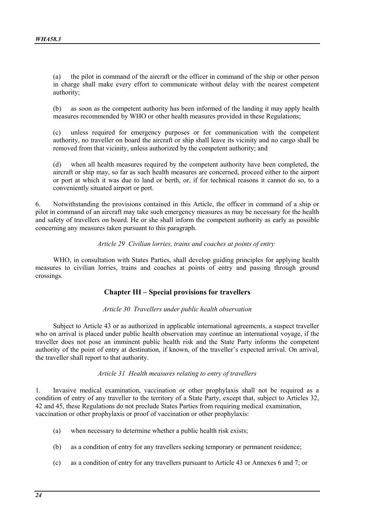(a) the pilot in command of the aircraft or the officer in command of the ship or other person in charge shall make every effort to communicate without delay with the nearest competent authority;

(b) as soon as the competent authority has been informed of the landing it may apply health measures recommended by WHO or other health measures provided in these Regulations;

(c) unless required for emergency purposes or for communication with the competent authority, no traveller on board the aircraft or ship shall leave its vicinity and no cargo shall be removed from that vicinity, unless authorized by the competent authority; and

(d) when all health measures required by the competent authority have been completed, the aircraft or ship may, so far as such health measures are concerned, proceed either to the airport or port at which it was due to land or berth, or, if for technical reasons it cannot do so, to a conveniently situated airport or port.

6. Notwithstanding the provisions contained in this Article, the officer in command of a ship or pilot in command of an aircraft may take such emergency measures as may be necessary for the health and safety of travellers on board. He or she shall inform the competent authority as early as possible concerning any measures taken pursuant to this paragraph.

#### *Article 29 Civilian lorries, trains and coaches at points of entry*

 WHO, in consultation with States Parties, shall develop guiding principles for applying health measures to civilian lorries, trains and coaches at points of entry and passing through ground crossings.

#### **Chapter III – Special provisions for travellers**

#### *Article 30 Travellers under public health observation*

 Subject to Article 43 or as authorized in applicable international agreements, a suspect traveller who on arrival is placed under public health observation may continue an international voyage, if the traveller does not pose an imminent public health risk and the State Party informs the competent authority of the point of entry at destination, if known, of the traveller's expected arrival. On arrival, the traveller shall report to that authority.

#### *Article 31 Health measures relating to entry of travellers*

1. Invasive medical examination, vaccination or other prophylaxis shall not be required as a condition of entry of any traveller to the territory of a State Party, except that, subject to Articles 32, 42 and 45, these Regulations do not preclude States Parties from requiring medical examination, vaccination or other prophylaxis or proof of vaccination or other prophylaxis:

- (a) when necessary to determine whether a public health risk exists;
- (b) as a condition of entry for any travellers seeking temporary or permanent residence;
- (c) as a condition of entry for any travellers pursuant to Article 43 or Annexes 6 and 7; or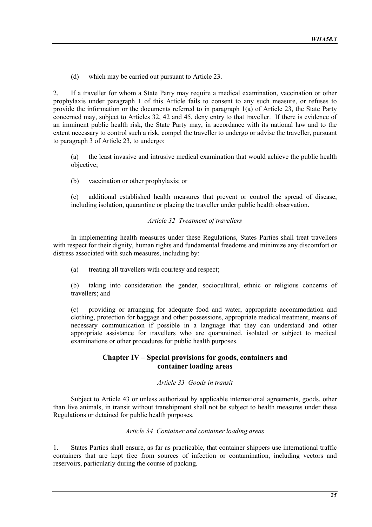(d) which may be carried out pursuant to Article 23.

2. If a traveller for whom a State Party may require a medical examination, vaccination or other prophylaxis under paragraph 1 of this Article fails to consent to any such measure, or refuses to provide the information or the documents referred to in paragraph 1(a) of Article 23, the State Party concerned may, subject to Articles 32, 42 and 45, deny entry to that traveller. If there is evidence of an imminent public health risk, the State Party may, in accordance with its national law and to the extent necessary to control such a risk, compel the traveller to undergo or advise the traveller, pursuant to paragraph 3 of Article 23, to undergo:

(a) the least invasive and intrusive medical examination that would achieve the public health objective;

(b) vaccination or other prophylaxis; or

(c) additional established health measures that prevent or control the spread of disease, including isolation, quarantine or placing the traveller under public health observation.

#### *Article 32 Treatment of travellers*

 In implementing health measures under these Regulations, States Parties shall treat travellers with respect for their dignity, human rights and fundamental freedoms and minimize any discomfort or distress associated with such measures, including by:

(a) treating all travellers with courtesy and respect;

(b) taking into consideration the gender, sociocultural, ethnic or religious concerns of travellers; and

(c) providing or arranging for adequate food and water, appropriate accommodation and clothing, protection for baggage and other possessions, appropriate medical treatment, means of necessary communication if possible in a language that they can understand and other appropriate assistance for travellers who are quarantined, isolated or subject to medical examinations or other procedures for public health purposes.

### **Chapter IV – Special provisions for goods, containers and container loading areas**

#### *Article 33 Goods in transit*

 Subject to Article 43 or unless authorized by applicable international agreements, goods, other than live animals, in transit without transhipment shall not be subject to health measures under these Regulations or detained for public health purposes.

#### *Article 34 Container and container loading areas*

1. States Parties shall ensure, as far as practicable, that container shippers use international traffic containers that are kept free from sources of infection or contamination, including vectors and reservoirs, particularly during the course of packing.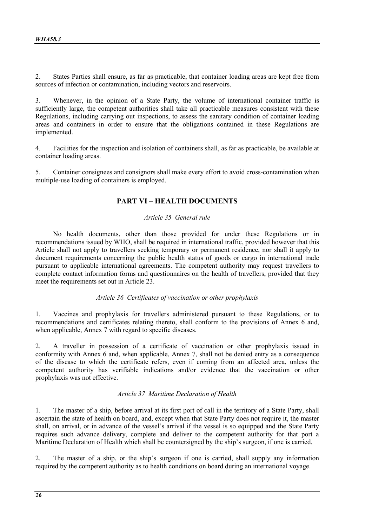2. States Parties shall ensure, as far as practicable, that container loading areas are kept free from sources of infection or contamination, including vectors and reservoirs.

3. Whenever, in the opinion of a State Party, the volume of international container traffic is sufficiently large, the competent authorities shall take all practicable measures consistent with these Regulations, including carrying out inspections, to assess the sanitary condition of container loading areas and containers in order to ensure that the obligations contained in these Regulations are implemented.

4. Facilities for the inspection and isolation of containers shall, as far as practicable, be available at container loading areas.

5. Container consignees and consignors shall make every effort to avoid cross-contamination when multiple-use loading of containers is employed.

### **PART VI – HEALTH DOCUMENTS**

#### *Article 35 General rule*

 No health documents, other than those provided for under these Regulations or in recommendations issued by WHO, shall be required in international traffic, provided however that this Article shall not apply to travellers seeking temporary or permanent residence, nor shall it apply to document requirements concerning the public health status of goods or cargo in international trade pursuant to applicable international agreements. The competent authority may request travellers to complete contact information forms and questionnaires on the health of travellers, provided that they meet the requirements set out in Article 23.

#### *Article 36 Certificates of vaccination or other prophylaxis*

1. Vaccines and prophylaxis for travellers administered pursuant to these Regulations, or to recommendations and certificates relating thereto, shall conform to the provisions of Annex 6 and, when applicable, Annex 7 with regard to specific diseases.

2. A traveller in possession of a certificate of vaccination or other prophylaxis issued in conformity with Annex 6 and, when applicable, Annex 7, shall not be denied entry as a consequence of the disease to which the certificate refers, even if coming from an affected area, unless the competent authority has verifiable indications and/or evidence that the vaccination or other prophylaxis was not effective.

#### *Article 37 Maritime Declaration of Health*

1. The master of a ship, before arrival at its first port of call in the territory of a State Party, shall ascertain the state of health on board, and, except when that State Party does not require it, the master shall, on arrival, or in advance of the vessel's arrival if the vessel is so equipped and the State Party requires such advance delivery, complete and deliver to the competent authority for that port a Maritime Declaration of Health which shall be countersigned by the ship's surgeon, if one is carried.

2. The master of a ship, or the ship's surgeon if one is carried, shall supply any information required by the competent authority as to health conditions on board during an international voyage.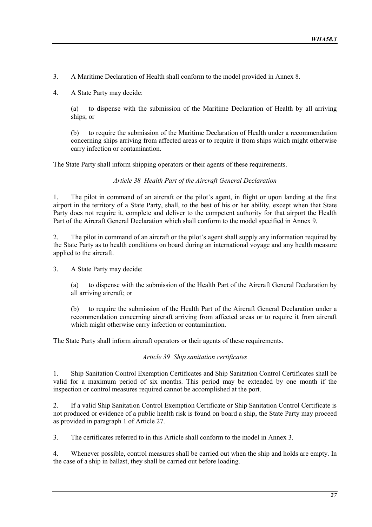3. A Maritime Declaration of Health shall conform to the model provided in Annex 8.

4. A State Party may decide:

(a) to dispense with the submission of the Maritime Declaration of Health by all arriving ships; or

(b) to require the submission of the Maritime Declaration of Health under a recommendation concerning ships arriving from affected areas or to require it from ships which might otherwise carry infection or contamination.

The State Party shall inform shipping operators or their agents of these requirements.

*Article 38 Health Part of the Aircraft General Declaration* 

1. The pilot in command of an aircraft or the pilot's agent, in flight or upon landing at the first airport in the territory of a State Party, shall, to the best of his or her ability, except when that State Party does not require it, complete and deliver to the competent authority for that airport the Health Part of the Aircraft General Declaration which shall conform to the model specified in Annex 9.

2. The pilot in command of an aircraft or the pilot's agent shall supply any information required by the State Party as to health conditions on board during an international voyage and any health measure applied to the aircraft.

3. A State Party may decide:

(a) to dispense with the submission of the Health Part of the Aircraft General Declaration by all arriving aircraft; or

(b) to require the submission of the Health Part of the Aircraft General Declaration under a recommendation concerning aircraft arriving from affected areas or to require it from aircraft which might otherwise carry infection or contamination.

The State Party shall inform aircraft operators or their agents of these requirements.

*Article 39 Ship sanitation certificates* 

1. Ship Sanitation Control Exemption Certificates and Ship Sanitation Control Certificates shall be valid for a maximum period of six months. This period may be extended by one month if the inspection or control measures required cannot be accomplished at the port.

2. If a valid Ship Sanitation Control Exemption Certificate or Ship Sanitation Control Certificate is not produced or evidence of a public health risk is found on board a ship, the State Party may proceed as provided in paragraph 1 of Article 27.

3. The certificates referred to in this Article shall conform to the model in Annex 3.

4. Whenever possible, control measures shall be carried out when the ship and holds are empty. In the case of a ship in ballast, they shall be carried out before loading.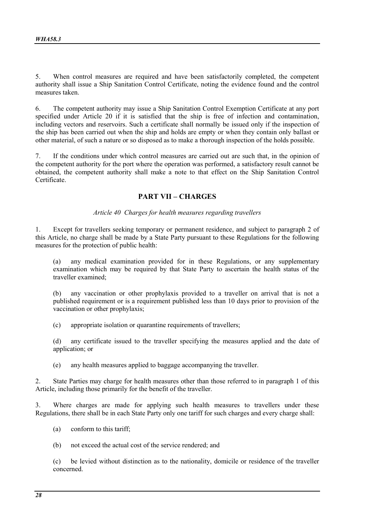5. When control measures are required and have been satisfactorily completed, the competent authority shall issue a Ship Sanitation Control Certificate, noting the evidence found and the control measures taken.

6. The competent authority may issue a Ship Sanitation Control Exemption Certificate at any port specified under Article 20 if it is satisfied that the ship is free of infection and contamination, including vectors and reservoirs. Such a certificate shall normally be issued only if the inspection of the ship has been carried out when the ship and holds are empty or when they contain only ballast or other material, of such a nature or so disposed as to make a thorough inspection of the holds possible.

7. If the conditions under which control measures are carried out are such that, in the opinion of the competent authority for the port where the operation was performed, a satisfactory result cannot be obtained, the competent authority shall make a note to that effect on the Ship Sanitation Control Certificate.

### **PART VII – CHARGES**

#### *Article 40 Charges for health measures regarding travellers*

1. Except for travellers seeking temporary or permanent residence, and subject to paragraph 2 of this Article, no charge shall be made by a State Party pursuant to these Regulations for the following measures for the protection of public health:

(a) any medical examination provided for in these Regulations, or any supplementary examination which may be required by that State Party to ascertain the health status of the traveller examined;

(b) any vaccination or other prophylaxis provided to a traveller on arrival that is not a published requirement or is a requirement published less than 10 days prior to provision of the vaccination or other prophylaxis;

(c) appropriate isolation or quarantine requirements of travellers;

(d) any certificate issued to the traveller specifying the measures applied and the date of application; or

(e) any health measures applied to baggage accompanying the traveller.

2. State Parties may charge for health measures other than those referred to in paragraph 1 of this Article, including those primarily for the benefit of the traveller.

3. Where charges are made for applying such health measures to travellers under these Regulations, there shall be in each State Party only one tariff for such charges and every charge shall:

- (a) conform to this tariff;
- (b) not exceed the actual cost of the service rendered; and

(c) be levied without distinction as to the nationality, domicile or residence of the traveller concerned.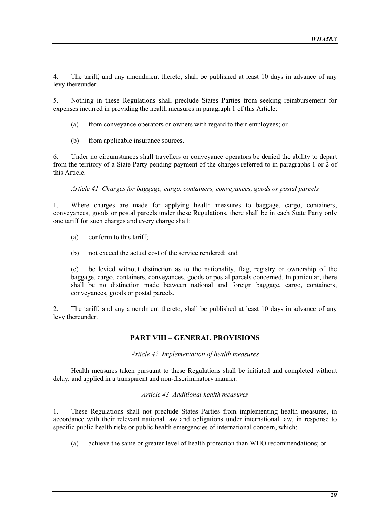4. The tariff, and any amendment thereto, shall be published at least 10 days in advance of any levy thereunder.

5. Nothing in these Regulations shall preclude States Parties from seeking reimbursement for expenses incurred in providing the health measures in paragraph 1 of this Article:

- (a) from conveyance operators or owners with regard to their employees; or
- (b) from applicable insurance sources.

6. Under no circumstances shall travellers or conveyance operators be denied the ability to depart from the territory of a State Party pending payment of the charges referred to in paragraphs 1 or 2 of this Article.

*Article 41 Charges for baggage, cargo, containers, conveyances, goods or postal parcels* 

1. Where charges are made for applying health measures to baggage, cargo, containers, conveyances, goods or postal parcels under these Regulations, there shall be in each State Party only one tariff for such charges and every charge shall:

- (a) conform to this tariff;
- (b) not exceed the actual cost of the service rendered; and

(c) be levied without distinction as to the nationality, flag, registry or ownership of the baggage, cargo, containers, conveyances, goods or postal parcels concerned. In particular, there shall be no distinction made between national and foreign baggage, cargo, containers, conveyances, goods or postal parcels.

2. The tariff, and any amendment thereto, shall be published at least 10 days in advance of any levy thereunder.

#### **PART VIII – GENERAL PROVISIONS**

*Article 42 Implementation of health measures* 

 Health measures taken pursuant to these Regulations shall be initiated and completed without delay, and applied in a transparent and non-discriminatory manner.

*Article 43 Additional health measures* 

1. These Regulations shall not preclude States Parties from implementing health measures, in accordance with their relevant national law and obligations under international law, in response to specific public health risks or public health emergencies of international concern, which:

(a) achieve the same or greater level of health protection than WHO recommendations; or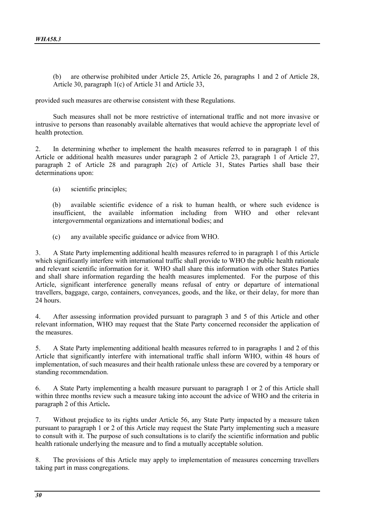(b) are otherwise prohibited under Article 25, Article 26, paragraphs 1 and 2 of Article 28, Article 30, paragraph 1(c) of Article 31 and Article 33,

provided such measures are otherwise consistent with these Regulations.

 Such measures shall not be more restrictive of international traffic and not more invasive or intrusive to persons than reasonably available alternatives that would achieve the appropriate level of health protection.

2. In determining whether to implement the health measures referred to in paragraph 1 of this Article or additional health measures under paragraph 2 of Article 23, paragraph 1 of Article 27, paragraph 2 of Article 28 and paragraph 2(c) of Article 31, States Parties shall base their determinations upon:

(a) scientific principles;

(b) available scientific evidence of a risk to human health, or where such evidence is insufficient, the available information including from WHO and other relevant intergovernmental organizations and international bodies; and

(c) any available specific guidance or advice from WHO.

3. A State Party implementing additional health measures referred to in paragraph 1 of this Article which significantly interfere with international traffic shall provide to WHO the public health rationale and relevant scientific information for it. WHO shall share this information with other States Parties and shall share information regarding the health measures implemented. For the purpose of this Article, significant interference generally means refusal of entry or departure of international travellers, baggage, cargo, containers, conveyances, goods, and the like, or their delay, for more than 24 hours.

4. After assessing information provided pursuant to paragraph 3 and 5 of this Article and other relevant information, WHO may request that the State Party concerned reconsider the application of the measures.

5. A State Party implementing additional health measures referred to in paragraphs 1 and 2 of this Article that significantly interfere with international traffic shall inform WHO, within 48 hours of implementation, of such measures and their health rationale unless these are covered by a temporary or standing recommendation.

6. A State Party implementing a health measure pursuant to paragraph 1 or 2 of this Article shall within three months review such a measure taking into account the advice of WHO and the criteria in paragraph 2 of this Article**.**

7. Without prejudice to its rights under Article 56, any State Party impacted by a measure taken pursuant to paragraph 1 or 2 of this Article may request the State Party implementing such a measure to consult with it. The purpose of such consultations is to clarify the scientific information and public health rationale underlying the measure and to find a mutually acceptable solution.

8. The provisions of this Article may apply to implementation of measures concerning travellers taking part in mass congregations.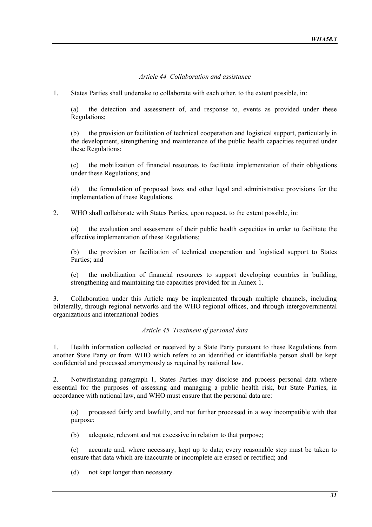### *Article 44 Collaboration and assistance*

1. States Parties shall undertake to collaborate with each other, to the extent possible, in:

(a) the detection and assessment of, and response to, events as provided under these Regulations;

(b) the provision or facilitation of technical cooperation and logistical support, particularly in the development, strengthening and maintenance of the public health capacities required under these Regulations;

(c) the mobilization of financial resources to facilitate implementation of their obligations under these Regulations; and

(d) the formulation of proposed laws and other legal and administrative provisions for the implementation of these Regulations.

2. WHO shall collaborate with States Parties, upon request, to the extent possible, in:

(a) the evaluation and assessment of their public health capacities in order to facilitate the effective implementation of these Regulations;

(b) the provision or facilitation of technical cooperation and logistical support to States Parties: and

(c) the mobilization of financial resources to support developing countries in building, strengthening and maintaining the capacities provided for in Annex 1.

3. Collaboration under this Article may be implemented through multiple channels, including bilaterally, through regional networks and the WHO regional offices, and through intergovernmental organizations and international bodies.

### *Article 45 Treatment of personal data*

1. Health information collected or received by a State Party pursuant to these Regulations from another State Party or from WHO which refers to an identified or identifiable person shall be kept confidential and processed anonymously as required by national law.

2. Notwithstanding paragraph 1, States Parties may disclose and process personal data where essential for the purposes of assessing and managing a public health risk, but State Parties, in accordance with national law, and WHO must ensure that the personal data are:

(a) processed fairly and lawfully, and not further processed in a way incompatible with that purpose;

(b) adequate, relevant and not excessive in relation to that purpose;

(c) accurate and, where necessary, kept up to date; every reasonable step must be taken to ensure that data which are inaccurate or incomplete are erased or rectified; and

(d) not kept longer than necessary.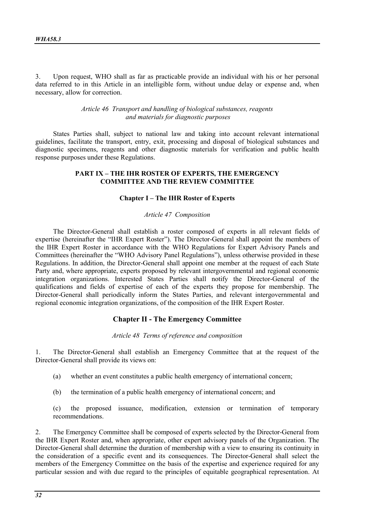3. Upon request, WHO shall as far as practicable provide an individual with his or her personal data referred to in this Article in an intelligible form, without undue delay or expense and, when necessary, allow for correction.

> *Article 46 Transport and handling of biological substances, reagents and materials for diagnostic purposes*

States Parties shall, subject to national law and taking into account relevant international guidelines, facilitate the transport, entry, exit, processing and disposal of biological substances and diagnostic specimens, reagents and other diagnostic materials for verification and public health response purposes under these Regulations.

#### **PART IX – THE IHR ROSTER OF EXPERTS, THE EMERGENCY COMMITTEE AND THE REVIEW COMMITTEE**

#### **Chapter I – The IHR Roster of Experts**

#### *Article 47 Composition*

 The Director-General shall establish a roster composed of experts in all relevant fields of expertise (hereinafter the "IHR Expert Roster"). The Director-General shall appoint the members of the IHR Expert Roster in accordance with the WHO Regulations for Expert Advisory Panels and Committees (hereinafter the "WHO Advisory Panel Regulations"), unless otherwise provided in these Regulations. In addition, the Director-General shall appoint one member at the request of each State Party and, where appropriate, experts proposed by relevant intergovernmental and regional economic integration organizations. Interested States Parties shall notify the Director-General of the qualifications and fields of expertise of each of the experts they propose for membership. The Director-General shall periodically inform the States Parties, and relevant intergovernmental and regional economic integration organizations, of the composition of the IHR Expert Roster.

#### **Chapter II - The Emergency Committee**

*Article 48 Terms of reference and composition* 

1. The Director-General shall establish an Emergency Committee that at the request of the Director-General shall provide its views on:

- (a) whether an event constitutes a public health emergency of international concern;
- (b) the termination of a public health emergency of international concern; and
- (c) the proposed issuance, modification, extension or termination of temporary recommendations.

2. The Emergency Committee shall be composed of experts selected by the Director-General from the IHR Expert Roster and, when appropriate, other expert advisory panels of the Organization. The Director-General shall determine the duration of membership with a view to ensuring its continuity in the consideration of a specific event and its consequences. The Director-General shall select the members of the Emergency Committee on the basis of the expertise and experience required for any particular session and with due regard to the principles of equitable geographical representation. At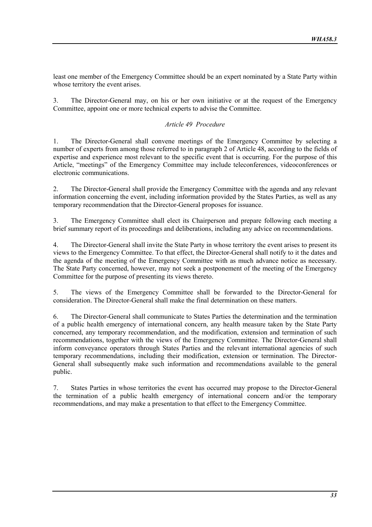least one member of the Emergency Committee should be an expert nominated by a State Party within whose territory the event arises.

3. The Director-General may, on his or her own initiative or at the request of the Emergency Committee, appoint one or more technical experts to advise the Committee.

#### *Article 49 Procedure*

1. The Director-General shall convene meetings of the Emergency Committee by selecting a number of experts from among those referred to in paragraph 2 of Article 48, according to the fields of expertise and experience most relevant to the specific event that is occurring. For the purpose of this Article, "meetings" of the Emergency Committee may include teleconferences, videoconferences or electronic communications.

2. The Director-General shall provide the Emergency Committee with the agenda and any relevant information concerning the event, including information provided by the States Parties, as well as any temporary recommendation that the Director-General proposes for issuance.

3. The Emergency Committee shall elect its Chairperson and prepare following each meeting a brief summary report of its proceedings and deliberations, including any advice on recommendations.

4. The Director-General shall invite the State Party in whose territory the event arises to present its views to the Emergency Committee. To that effect, the Director-General shall notify to it the dates and the agenda of the meeting of the Emergency Committee with as much advance notice as necessary. The State Party concerned, however, may not seek a postponement of the meeting of the Emergency Committee for the purpose of presenting its views thereto.

5. The views of the Emergency Committee shall be forwarded to the Director-General for consideration. The Director-General shall make the final determination on these matters.

6. The Director-General shall communicate to States Parties the determination and the termination of a public health emergency of international concern, any health measure taken by the State Party concerned, any temporary recommendation, and the modification, extension and termination of such recommendations, together with the views of the Emergency Committee. The Director-General shall inform conveyance operators through States Parties and the relevant international agencies of such temporary recommendations, including their modification, extension or termination. The Director-General shall subsequently make such information and recommendations available to the general public.

7. States Parties in whose territories the event has occurred may propose to the Director-General the termination of a public health emergency of international concern and/or the temporary recommendations, and may make a presentation to that effect to the Emergency Committee.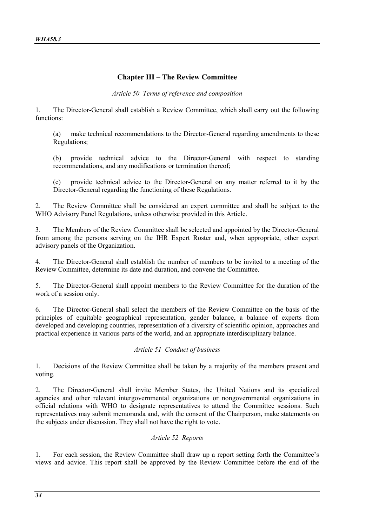### **Chapter III – The Review Committee**

*Article 50 Terms of reference and composition* 

1. The Director-General shall establish a Review Committee, which shall carry out the following functions:

(a) make technical recommendations to the Director-General regarding amendments to these Regulations;

(b) provide technical advice to the Director-General with respect to standing recommendations, and any modifications or termination thereof;

(c) provide technical advice to the Director-General on any matter referred to it by the Director-General regarding the functioning of these Regulations.

2. The Review Committee shall be considered an expert committee and shall be subject to the WHO Advisory Panel Regulations, unless otherwise provided in this Article.

3. The Members of the Review Committee shall be selected and appointed by the Director-General from among the persons serving on the IHR Expert Roster and, when appropriate, other expert advisory panels of the Organization.

4. The Director-General shall establish the number of members to be invited to a meeting of the Review Committee, determine its date and duration, and convene the Committee.

5. The Director-General shall appoint members to the Review Committee for the duration of the work of a session only.

6. The Director-General shall select the members of the Review Committee on the basis of the principles of equitable geographical representation, gender balance, a balance of experts from developed and developing countries, representation of a diversity of scientific opinion, approaches and practical experience in various parts of the world, and an appropriate interdisciplinary balance.

#### *Article 51 Conduct of business*

1. Decisions of the Review Committee shall be taken by a majority of the members present and voting.

2. The Director-General shall invite Member States, the United Nations and its specialized agencies and other relevant intergovernmental organizations or nongovernmental organizations in official relations with WHO to designate representatives to attend the Committee sessions. Such representatives may submit memoranda and, with the consent of the Chairperson, make statements on the subjects under discussion. They shall not have the right to vote.

### *Article 52 Reports*

1. For each session, the Review Committee shall draw up a report setting forth the Committee's views and advice. This report shall be approved by the Review Committee before the end of the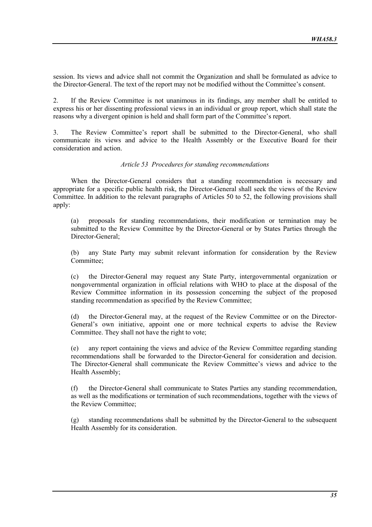session. Its views and advice shall not commit the Organization and shall be formulated as advice to the Director-General. The text of the report may not be modified without the Committee's consent.

2. If the Review Committee is not unanimous in its findings, any member shall be entitled to express his or her dissenting professional views in an individual or group report, which shall state the reasons why a divergent opinion is held and shall form part of the Committee's report.

3. The Review Committee's report shall be submitted to the Director-General, who shall communicate its views and advice to the Health Assembly or the Executive Board for their consideration and action.

#### *Article 53 Procedures for standing recommendations*

When the Director-General considers that a standing recommendation is necessary and appropriate for a specific public health risk, the Director-General shall seek the views of the Review Committee. In addition to the relevant paragraphs of Articles 50 to 52, the following provisions shall apply:

(a) proposals for standing recommendations, their modification or termination may be submitted to the Review Committee by the Director-General or by States Parties through the Director-General;

(b) any State Party may submit relevant information for consideration by the Review Committee;

(c) the Director-General may request any State Party, intergovernmental organization or nongovernmental organization in official relations with WHO to place at the disposal of the Review Committee information in its possession concerning the subject of the proposed standing recommendation as specified by the Review Committee;

 (d) the Director-General may, at the request of the Review Committee or on the Director-General's own initiative, appoint one or more technical experts to advise the Review Committee. They shall not have the right to vote;

(e) any report containing the views and advice of the Review Committee regarding standing recommendations shall be forwarded to the Director-General for consideration and decision. The Director-General shall communicate the Review Committee's views and advice to the Health Assembly;

(f) the Director-General shall communicate to States Parties any standing recommendation, as well as the modifications or termination of such recommendations, together with the views of the Review Committee;

(g) standing recommendations shall be submitted by the Director-General to the subsequent Health Assembly for its consideration.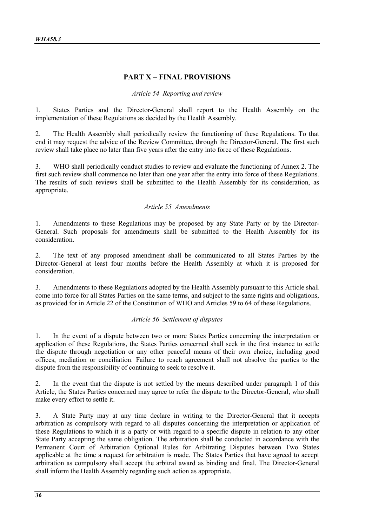### **PART X – FINAL PROVISIONS**

#### *Article 54 Reporting and review*

1. States Parties and the Director-General shall report to the Health Assembly on the implementation of these Regulations as decided by the Health Assembly.

2. The Health Assembly shall periodically review the functioning of these Regulations. To that end it may request the advice of the Review Committee**,** through the Director-General. The first such review shall take place no later than five years after the entry into force of these Regulations.

3. WHO shall periodically conduct studies to review and evaluate the functioning of Annex 2. The first such review shall commence no later than one year after the entry into force of these Regulations. The results of such reviews shall be submitted to the Health Assembly for its consideration, as appropriate.

#### *Article 55 Amendments*

1. Amendments to these Regulations may be proposed by any State Party or by the Director-General. Such proposals for amendments shall be submitted to the Health Assembly for its consideration.

2. The text of any proposed amendment shall be communicated to all States Parties by the Director-General at least four months before the Health Assembly at which it is proposed for consideration.

3. Amendments to these Regulations adopted by the Health Assembly pursuant to this Article shall come into force for all States Parties on the same terms, and subject to the same rights and obligations, as provided for in Article 22 of the Constitution of WHO and Articles 59 to 64 of these Regulations.

#### *Article 56 Settlement of disputes*

1. In the event of a dispute between two or more States Parties concerning the interpretation or application of these Regulations, the States Parties concerned shall seek in the first instance to settle the dispute through negotiation or any other peaceful means of their own choice, including good offices, mediation or conciliation. Failure to reach agreement shall not absolve the parties to the dispute from the responsibility of continuing to seek to resolve it.

2. In the event that the dispute is not settled by the means described under paragraph 1 of this Article, the States Parties concerned may agree to refer the dispute to the Director-General, who shall make every effort to settle it.

3. A State Party may at any time declare in writing to the Director-General that it accepts arbitration as compulsory with regard to all disputes concerning the interpretation or application of these Regulations to which it is a party or with regard to a specific dispute in relation to any other State Party accepting the same obligation. The arbitration shall be conducted in accordance with the Permanent Court of Arbitration Optional Rules for Arbitrating Disputes between Two States applicable at the time a request for arbitration is made. The States Parties that have agreed to accept arbitration as compulsory shall accept the arbitral award as binding and final. The Director-General shall inform the Health Assembly regarding such action as appropriate.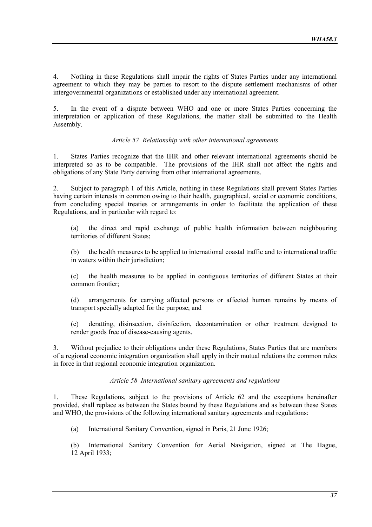4. Nothing in these Regulations shall impair the rights of States Parties under any international agreement to which they may be parties to resort to the dispute settlement mechanisms of other intergovernmental organizations or established under any international agreement.

5. In the event of a dispute between WHO and one or more States Parties concerning the interpretation or application of these Regulations, the matter shall be submitted to the Health Assembly.

#### *Article 57 Relationship with other international agreements*

1. States Parties recognize that the IHR and other relevant international agreements should be interpreted so as to be compatible. The provisions of the IHR shall not affect the rights and obligations of any State Party deriving from other international agreements.

2. Subject to paragraph 1 of this Article, nothing in these Regulations shall prevent States Parties having certain interests in common owing to their health, geographical, social or economic conditions, from concluding special treaties or arrangements in order to facilitate the application of these Regulations, and in particular with regard to:

(a) the direct and rapid exchange of public health information between neighbouring territories of different States;

(b) the health measures to be applied to international coastal traffic and to international traffic in waters within their jurisdiction;

(c) the health measures to be applied in contiguous territories of different States at their common frontier;

(d) arrangements for carrying affected persons or affected human remains by means of transport specially adapted for the purpose; and

(e) deratting, disinsection, disinfection, decontamination or other treatment designed to render goods free of disease-causing agents.

3. Without prejudice to their obligations under these Regulations, States Parties that are members of a regional economic integration organization shall apply in their mutual relations the common rules in force in that regional economic integration organization.

#### *Article 58 International sanitary agreements and regulations*

1. These Regulations, subject to the provisions of Article 62 and the exceptions hereinafter provided, shall replace as between the States bound by these Regulations and as between these States and WHO, the provisions of the following international sanitary agreements and regulations:

(a) International Sanitary Convention, signed in Paris, 21 June 1926;

(b) International Sanitary Convention for Aerial Navigation, signed at The Hague, 12 April 1933;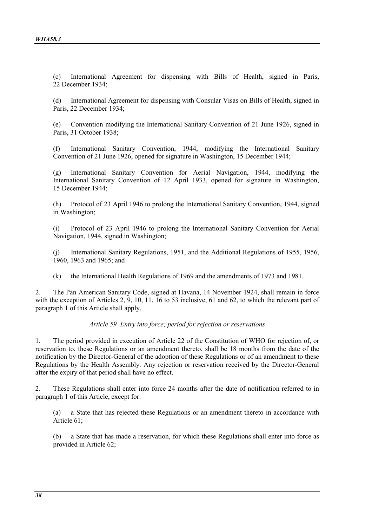(c) International Agreement for dispensing with Bills of Health, signed in Paris, 22 December 1934;

(d) International Agreement for dispensing with Consular Visas on Bills of Health, signed in Paris, 22 December 1934;

(e) Convention modifying the International Sanitary Convention of 21 June 1926, signed in Paris, 31 October 1938;

(f) International Sanitary Convention, 1944, modifying the International Sanitary Convention of 21 June 1926, opened for signature in Washington, 15 December 1944;

(g) International Sanitary Convention for Aerial Navigation, 1944, modifying the International Sanitary Convention of 12 April 1933, opened for signature in Washington, 15 December 1944;

(h) Protocol of 23 April 1946 to prolong the International Sanitary Convention, 1944, signed in Washington;

(i) Protocol of 23 April 1946 to prolong the International Sanitary Convention for Aerial Navigation, 1944, signed in Washington;

(j) International Sanitary Regulations, 1951, and the Additional Regulations of 1955, 1956, 1960, 1963 and 1965; and

(k) the International Health Regulations of 1969 and the amendments of 1973 and 1981.

2. The Pan American Sanitary Code, signed at Havana, 14 November 1924, shall remain in force with the exception of Articles 2, 9, 10, 11, 16 to 53 inclusive, 61 and 62, to which the relevant part of paragraph 1 of this Article shall apply.

#### *Article 59 Entry into force; period for rejection or reservations*

1. The period provided in execution of Article 22 of the Constitution of WHO for rejection of, or reservation to, these Regulations or an amendment thereto, shall be 18 months from the date of the notification by the Director-General of the adoption of these Regulations or of an amendment to these Regulations by the Health Assembly. Any rejection or reservation received by the Director-General after the expiry of that period shall have no effect.

2. These Regulations shall enter into force 24 months after the date of notification referred to in paragraph 1 of this Article, except for:

(a) a State that has rejected these Regulations or an amendment thereto in accordance with Article 61;

(b) a State that has made a reservation, for which these Regulations shall enter into force as provided in Article 62;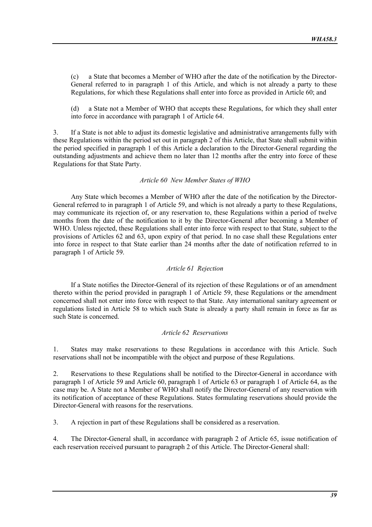(c) a State that becomes a Member of WHO after the date of the notification by the Director-General referred to in paragraph 1 of this Article, and which is not already a party to these Regulations, for which these Regulations shall enter into force as provided in Article 60; and

(d) a State not a Member of WHO that accepts these Regulations, for which they shall enter into force in accordance with paragraph 1 of Article 64.

3. If a State is not able to adjust its domestic legislative and administrative arrangements fully with these Regulations within the period set out in paragraph 2 of this Article, that State shall submit within the period specified in paragraph 1 of this Article a declaration to the Director-General regarding the outstanding adjustments and achieve them no later than 12 months after the entry into force of these Regulations for that State Party.

#### *Article 60 New Member States of WHO*

 Any State which becomes a Member of WHO after the date of the notification by the Director-General referred to in paragraph 1 of Article 59, and which is not already a party to these Regulations, may communicate its rejection of, or any reservation to, these Regulations within a period of twelve months from the date of the notification to it by the Director-General after becoming a Member of WHO. Unless rejected, these Regulations shall enter into force with respect to that State, subject to the provisions of Articles 62 and 63, upon expiry of that period. In no case shall these Regulations enter into force in respect to that State earlier than 24 months after the date of notification referred to in paragraph 1 of Article 59.

#### *Article 61 Rejection*

If a State notifies the Director-General of its rejection of these Regulations or of an amendment thereto within the period provided in paragraph 1 of Article 59, these Regulations or the amendment concerned shall not enter into force with respect to that State. Any international sanitary agreement or regulations listed in Article 58 to which such State is already a party shall remain in force as far as such State is concerned.

#### *Article 62 Reservations*

1. States may make reservations to these Regulations in accordance with this Article. Such reservations shall not be incompatible with the object and purpose of these Regulations.

2. Reservations to these Regulations shall be notified to the Director-General in accordance with paragraph 1 of Article 59 and Article 60, paragraph 1 of Article 63 or paragraph 1 of Article 64, as the case may be. A State not a Member of WHO shall notify the Director-General of any reservation with its notification of acceptance of these Regulations. States formulating reservations should provide the Director-General with reasons for the reservations.

3. A rejection in part of these Regulations shall be considered as a reservation.

4. The Director-General shall, in accordance with paragraph 2 of Article 65, issue notification of each reservation received pursuant to paragraph 2 of this Article. The Director-General shall: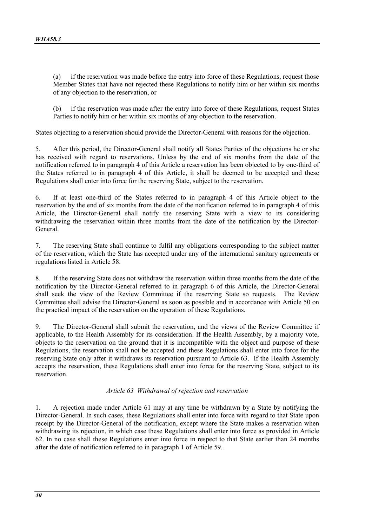(a) if the reservation was made before the entry into force of these Regulations, request those Member States that have not rejected these Regulations to notify him or her within six months of any objection to the reservation, or

(b) if the reservation was made after the entry into force of these Regulations, request States Parties to notify him or her within six months of any objection to the reservation.

States objecting to a reservation should provide the Director-General with reasons for the objection.

5. After this period, the Director-General shall notify all States Parties of the objections he or she has received with regard to reservations. Unless by the end of six months from the date of the notification referred to in paragraph 4 of this Article a reservation has been objected to by one-third of the States referred to in paragraph 4 of this Article, it shall be deemed to be accepted and these Regulations shall enter into force for the reserving State, subject to the reservation.

6. If at least one-third of the States referred to in paragraph 4 of this Article object to the reservation by the end of six months from the date of the notification referred to in paragraph 4 of this Article, the Director-General shall notify the reserving State with a view to its considering withdrawing the reservation within three months from the date of the notification by the Director-General.

7. The reserving State shall continue to fulfil any obligations corresponding to the subject matter of the reservation, which the State has accepted under any of the international sanitary agreements or regulations listed in Article 58.

8. If the reserving State does not withdraw the reservation within three months from the date of the notification by the Director-General referred to in paragraph 6 of this Article, the Director-General shall seek the view of the Review Committee if the reserving State so requests. The Review Committee shall advise the Director-General as soon as possible and in accordance with Article 50 on the practical impact of the reservation on the operation of these Regulations.

9. The Director-General shall submit the reservation, and the views of the Review Committee if applicable, to the Health Assembly for its consideration. If the Health Assembly, by a majority vote, objects to the reservation on the ground that it is incompatible with the object and purpose of these Regulations, the reservation shall not be accepted and these Regulations shall enter into force for the reserving State only after it withdraws its reservation pursuant to Article 63. If the Health Assembly accepts the reservation, these Regulations shall enter into force for the reserving State, subject to its reservation.

#### *Article 63 Withdrawal of rejection and reservation*

1. A rejection made under Article 61 may at any time be withdrawn by a State by notifying the Director-General. In such cases, these Regulations shall enter into force with regard to that State upon receipt by the Director-General of the notification, except where the State makes a reservation when withdrawing its rejection, in which case these Regulations shall enter into force as provided in Article 62. In no case shall these Regulations enter into force in respect to that State earlier than 24 months after the date of notification referred to in paragraph 1 of Article 59.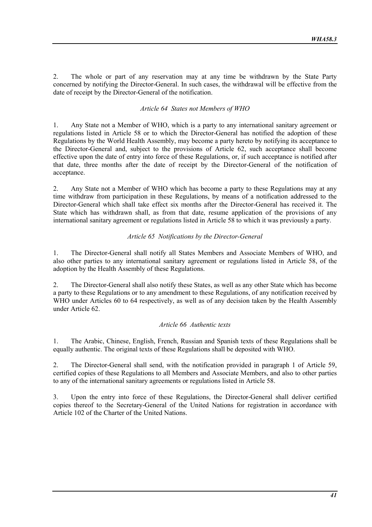2. The whole or part of any reservation may at any time be withdrawn by the State Party concerned by notifying the Director-General. In such cases, the withdrawal will be effective from the date of receipt by the Director-General of the notification.

#### *Article 64 States not Members of WHO*

1. Any State not a Member of WHO, which is a party to any international sanitary agreement or regulations listed in Article 58 or to which the Director-General has notified the adoption of these Regulations by the World Health Assembly, may become a party hereto by notifying its acceptance to the Director-General and, subject to the provisions of Article 62, such acceptance shall become effective upon the date of entry into force of these Regulations, or, if such acceptance is notified after that date, three months after the date of receipt by the Director-General of the notification of acceptance.

2. Any State not a Member of WHO which has become a party to these Regulations may at any time withdraw from participation in these Regulations, by means of a notification addressed to the Director-General which shall take effect six months after the Director-General has received it. The State which has withdrawn shall, as from that date, resume application of the provisions of any international sanitary agreement or regulations listed in Article 58 to which it was previously a party.

#### *Article 65 Notifications by the Director-General*

1. The Director-General shall notify all States Members and Associate Members of WHO, and also other parties to any international sanitary agreement or regulations listed in Article 58, of the adoption by the Health Assembly of these Regulations.

2. The Director-General shall also notify these States, as well as any other State which has become a party to these Regulations or to any amendment to these Regulations, of any notification received by WHO under Articles 60 to 64 respectively, as well as of any decision taken by the Health Assembly under Article 62.

#### *Article 66 Authentic texts*

1. The Arabic, Chinese, English, French, Russian and Spanish texts of these Regulations shall be equally authentic. The original texts of these Regulations shall be deposited with WHO.

2. The Director-General shall send, with the notification provided in paragraph 1 of Article 59, certified copies of these Regulations to all Members and Associate Members, and also to other parties to any of the international sanitary agreements or regulations listed in Article 58.

3. Upon the entry into force of these Regulations, the Director-General shall deliver certified copies thereof to the Secretary-General of the United Nations for registration in accordance with Article 102 of the Charter of the United Nations.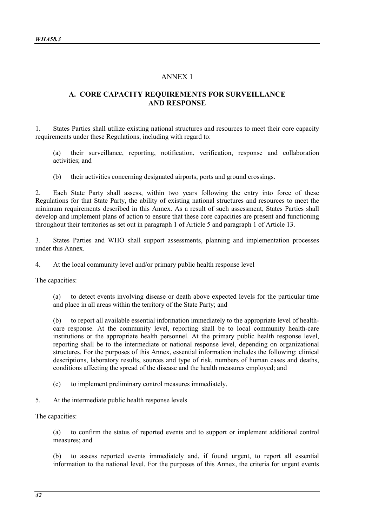### **A. CORE CAPACITY REQUIREMENTS FOR SURVEILLANCE AND RESPONSE**

1. States Parties shall utilize existing national structures and resources to meet their core capacity requirements under these Regulations, including with regard to:

 (a) their surveillance, reporting, notification, verification, response and collaboration activities; and

(b) their activities concerning designated airports, ports and ground crossings.

2. Each State Party shall assess, within two years following the entry into force of these Regulations for that State Party, the ability of existing national structures and resources to meet the minimum requirements described in this Annex. As a result of such assessment, States Parties shall develop and implement plans of action to ensure that these core capacities are present and functioning throughout their territories as set out in paragraph 1 of Article 5 and paragraph 1 of Article 13.

3. States Parties and WHO shall support assessments, planning and implementation processes under this Annex.

4. At the local community level and/or primary public health response level

The capacities:

(a) to detect events involving disease or death above expected levels for the particular time and place in all areas within the territory of the State Party; and

(b) to report all available essential information immediately to the appropriate level of healthcare response. At the community level, reporting shall be to local community health-care institutions or the appropriate health personnel. At the primary public health response level, reporting shall be to the intermediate or national response level, depending on organizational structures. For the purposes of this Annex, essential information includes the following: clinical descriptions, laboratory results, sources and type of risk, numbers of human cases and deaths, conditions affecting the spread of the disease and the health measures employed; and

(c) to implement preliminary control measures immediately.

5. At the intermediate public health response levels

The capacities:

(a) to confirm the status of reported events and to support or implement additional control measures; and

(b) to assess reported events immediately and, if found urgent, to report all essential information to the national level. For the purposes of this Annex, the criteria for urgent events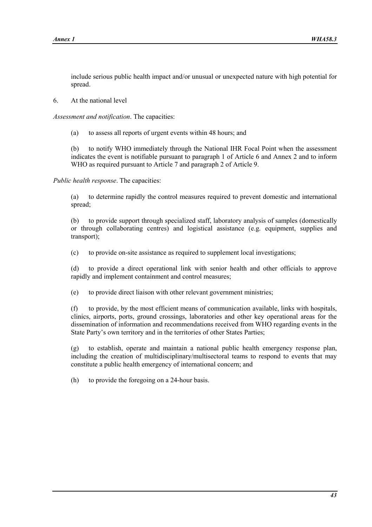include serious public health impact and/or unusual or unexpected nature with high potential for spread.

6. At the national level

*Assessment and notification*. The capacities:

(a) to assess all reports of urgent events within 48 hours; and

(b) to notify WHO immediately through the National IHR Focal Point when the assessment indicates the event is notifiable pursuant to paragraph 1 of Article 6 and Annex 2 and to inform WHO as required pursuant to Article 7 and paragraph 2 of Article 9.

*Public health response*. The capacities:

 (a) to determine rapidly the control measures required to prevent domestic and international spread;

 (b) to provide support through specialized staff, laboratory analysis of samples (domestically or through collaborating centres) and logistical assistance (e.g. equipment, supplies and transport);

(c) to provide on-site assistance as required to supplement local investigations;

 (d) to provide a direct operational link with senior health and other officials to approve rapidly and implement containment and control measures;

(e) to provide direct liaison with other relevant government ministries;

 (f) to provide, by the most efficient means of communication available, links with hospitals, clinics, airports, ports, ground crossings, laboratories and other key operational areas for the dissemination of information and recommendations received from WHO regarding events in the State Party's own territory and in the territories of other States Parties;

 (g) to establish, operate and maintain a national public health emergency response plan, including the creation of multidisciplinary/multisectoral teams to respond to events that may constitute a public health emergency of international concern; and

(h) to provide the foregoing on a 24-hour basis.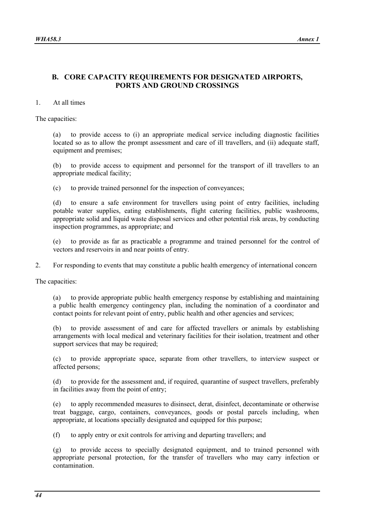### **B. CORE CAPACITY REQUIREMENTS FOR DESIGNATED AIRPORTS, PORTS AND GROUND CROSSINGS**

### 1. At all times

The capacities:

 (a) to provide access to (i) an appropriate medical service including diagnostic facilities located so as to allow the prompt assessment and care of ill travellers, and (ii) adequate staff, equipment and premises;

 (b) to provide access to equipment and personnel for the transport of ill travellers to an appropriate medical facility;

(c) to provide trained personnel for the inspection of conveyances;

 (d) to ensure a safe environment for travellers using point of entry facilities, including potable water supplies, eating establishments, flight catering facilities, public washrooms, appropriate solid and liquid waste disposal services and other potential risk areas, by conducting inspection programmes, as appropriate; and

 (e) to provide as far as practicable a programme and trained personnel for the control of vectors and reservoirs in and near points of entry.

2. For responding to events that may constitute a public health emergency of international concern

The capacities:

 (a) to provide appropriate public health emergency response by establishing and maintaining a public health emergency contingency plan, including the nomination of a coordinator and contact points for relevant point of entry, public health and other agencies and services;

 (b) to provide assessment of and care for affected travellers or animals by establishing arrangements with local medical and veterinary facilities for their isolation, treatment and other support services that may be required;

 (c) to provide appropriate space, separate from other travellers, to interview suspect or affected persons;

 (d) to provide for the assessment and, if required, quarantine of suspect travellers, preferably in facilities away from the point of entry;

 (e) to apply recommended measures to disinsect, derat, disinfect, decontaminate or otherwise treat baggage, cargo, containers, conveyances, goods or postal parcels including, when appropriate, at locations specially designated and equipped for this purpose;

(f) to apply entry or exit controls for arriving and departing travellers; and

 (g) to provide access to specially designated equipment, and to trained personnel with appropriate personal protection, for the transfer of travellers who may carry infection or contamination.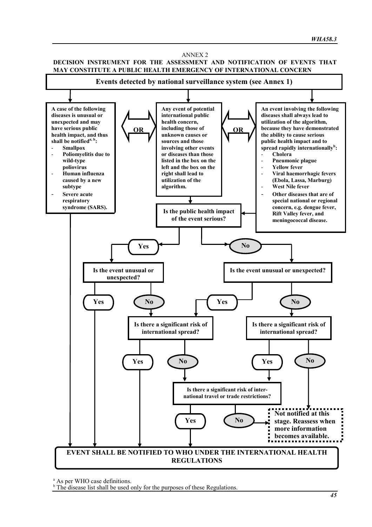#### **DECISION INSTRUMENT FOR THE ASSESSMENT AND NOTIFICATION OF EVENTS THAT MAY CONSTITUTE A PUBLIC HEALTH EMERGENCY OF INTERNATIONAL CONCERN**



<sup>b</sup> The disease list shall be used only for the purposes of these Regulations.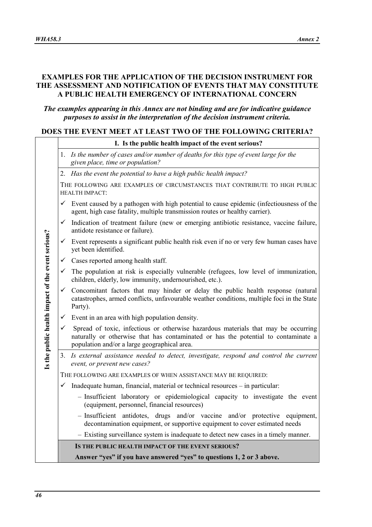### **EXAMPLES FOR THE APPLICATION OF THE DECISION INSTRUMENT FOR THE ASSESSMENT AND NOTIFICATION OF EVENTS THAT MAY CONSTITUTE A PUBLIC HEALTH EMERGENCY OF INTERNATIONAL CONCERN**

### *The examples appearing in this Annex are not binding and are for indicative guidance purposes to assist in the interpretation of the decision instrument criteria.*

### **DOES THE EVENT MEET AT LEAST TWO OF THE FOLLOWING CRITERIA?**

|                                                   |              | I. Is the public health impact of the event serious?                                                                                                                                                                     |
|---------------------------------------------------|--------------|--------------------------------------------------------------------------------------------------------------------------------------------------------------------------------------------------------------------------|
|                                                   |              | 1. Is the number of cases and/or number of deaths for this type of event large for the<br>given place, time or population?                                                                                               |
|                                                   |              | 2. Has the event the potential to have a high public health impact?                                                                                                                                                      |
|                                                   |              | THE FOLLOWING ARE EXAMPLES OF CIRCUMSTANCES THAT CONTRIBUTE TO HIGH PUBLIC<br>HEALTH IMPACT:                                                                                                                             |
|                                                   |              | $\checkmark$ Event caused by a pathogen with high potential to cause epidemic (infectiousness of the<br>agent, high case fatality, multiple transmission routes or healthy carrier).                                     |
|                                                   | ✓            | Indication of treatment failure (new or emerging antibiotic resistance, vaccine failure,<br>antidote resistance or failure).                                                                                             |
|                                                   | ✓            | Event represents a significant public health risk even if no or very few human cases have<br>yet been identified.                                                                                                        |
|                                                   | ✓            | Cases reported among health staff.                                                                                                                                                                                       |
|                                                   | ✓            | The population at risk is especially vulnerable (refugees, low level of immunization,<br>children, elderly, low immunity, undernourished, etc.).                                                                         |
|                                                   | $\checkmark$ | Concomitant factors that may hinder or delay the public health response (natural<br>catastrophes, armed conflicts, unfavourable weather conditions, multiple foci in the State<br>Party).                                |
|                                                   | ✓            | Event in an area with high population density.                                                                                                                                                                           |
| Is the public health impact of the event serious? | $\checkmark$ | Spread of toxic, infectious or otherwise hazardous materials that may be occurring<br>naturally or otherwise that has contaminated or has the potential to contaminate a<br>population and/or a large geographical area. |
|                                                   |              | 3. Is external assistance needed to detect, investigate, respond and control the current<br>event, or prevent new cases?                                                                                                 |
|                                                   |              | THE FOLLOWING ARE EXAMPLES OF WHEN ASSISTANCE MAY BE REQUIRED:                                                                                                                                                           |
|                                                   | ✓            | Inadequate human, financial, material or technical resources - in particular:                                                                                                                                            |
|                                                   |              | - Insufficient laboratory or epidemiological capacity to investigate the event<br>(equipment, personnel, financial resources)                                                                                            |
|                                                   |              | - Insufficient antidotes, drugs and/or vaccine and/or protective equipment,<br>decontamination equipment, or supportive equipment to cover estimated needs                                                               |
|                                                   |              | - Existing surveillance system is inadequate to detect new cases in a timely manner.                                                                                                                                     |
|                                                   |              | IS THE PUBLIC HEALTH IMPACT OF THE EVENT SERIOUS?                                                                                                                                                                        |
|                                                   |              | Answer "yes" if you have answered "yes" to questions 1, 2 or 3 above.                                                                                                                                                    |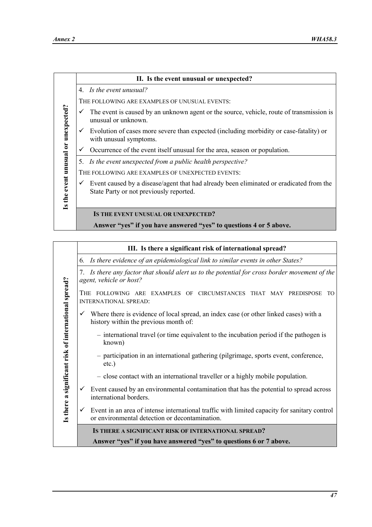| 4                                             | Is the event unusual?                                                                                                                           |  |  |  |  |  |  |
|-----------------------------------------------|-------------------------------------------------------------------------------------------------------------------------------------------------|--|--|--|--|--|--|
| THE FOLLOWING ARE EXAMPLES OF UNUSUAL EVENTS: |                                                                                                                                                 |  |  |  |  |  |  |
| $\checkmark$                                  | The event is caused by an unknown agent or the source, vehicle, route of transmission is<br>unusual or unknown.                                 |  |  |  |  |  |  |
| ✓                                             | Evolution of cases more severe than expected (including morbidity or case-fatality) or<br>with unusual symptoms.                                |  |  |  |  |  |  |
| ✓                                             | Occurrence of the event itself unusual for the area, season or population.                                                                      |  |  |  |  |  |  |
|                                               | 5. Is the event unexpected from a public health perspective?                                                                                    |  |  |  |  |  |  |
|                                               | THE FOLLOWING ARE EXAMPLES OF UNEXPECTED EVENTS:                                                                                                |  |  |  |  |  |  |
|                                               | $\checkmark$ Event caused by a disease/agent that had already been eliminated or eradicated from the<br>State Party or not previously reported. |  |  |  |  |  |  |
|                                               |                                                                                                                                                 |  |  |  |  |  |  |

# **III. Is there a significant risk of international spread?**  6*. Is there evidence of an epidemiological link to similar events in other States?*  7. *Is there any factor that should alert us to the potential for cross border movement of the*  **Is there a significant risk of international spread?**  Is there a significant risk of international spread? *agent, vehicle or host?* THE FOLLOWING ARE EXAMPLES OF CIRCUMSTANCES THAT MAY PREDISPOSE TO INTERNATIONAL SPREAD:  $\checkmark$  Where there is evidence of local spread, an index case (or other linked cases) with a history within the previous month of: – international travel (or time equivalent to the incubation period if the pathogen is known) – participation in an international gathering (pilgrimage, sports event, conference, etc.) – close contact with an international traveller or a highly mobile population.  $\checkmark$  Event caused by an environmental contamination that has the potential to spread across international borders.  $\checkmark$  Event in an area of intense international traffic with limited capacity for sanitary control or environmental detection or decontamination. **IS THERE A SIGNIFICANT RISK OF INTERNATIONAL SPREAD? Answer "yes" if you have answered "yes" to questions 6 or 7 above.**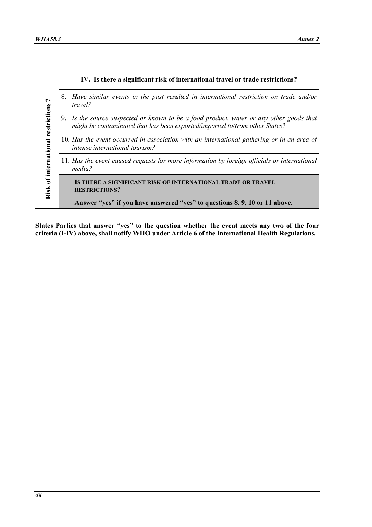|                                    | IV. Is there a significant risk of international travel or trade restrictions?                                                                                         |
|------------------------------------|------------------------------------------------------------------------------------------------------------------------------------------------------------------------|
|                                    | 8. Have similar events in the past resulted in international restriction on trade and/or<br>travel?                                                                    |
| Risk of international restrictions | 9. Is the source suspected or known to be a food product, water or any other goods that<br>might be contaminated that has been exported/imported to/from other States? |
|                                    | 10. Has the event occurred in association with an international gathering or in an area of<br><i>intense international tourism?</i>                                    |
|                                    | 11. Has the event caused requests for more information by foreign officials or international<br>media?                                                                 |
|                                    | IS THERE A SIGNIFICANT RISK OF INTERNATIONAL TRADE OR TRAVEL<br><b>RESTRICTIONS?</b>                                                                                   |
|                                    | Answer "yes" if you have answered "yes" to questions 8, 9, 10 or 11 above.                                                                                             |

**States Parties that answer "yes" to the question whether the event meets any two of the four criteria (I-IV) above, shall notify WHO under Article 6 of the International Health Regulations.**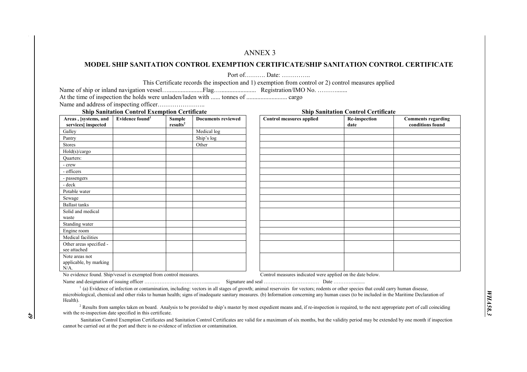#### **MODEL SHIP SANITATION CONTROL EXEMPTION CERTIFICATE/SHIP SANITATION CONTROL CERTIFICATE**

| Port of $\ldots$ Date: $\ldots$ $\ldots$                                                             |
|------------------------------------------------------------------------------------------------------|
| This Certificate records the inspection and 1) exemption from control or 2) control measures applied |
|                                                                                                      |
|                                                                                                      |
|                                                                                                      |
|                                                                                                      |

**Ship Sanitation Control Exemption Certificate Ship Sanitation Control Certificate** 

| Areas, [systems, and<br>services] inspected         | Evidence found <sup>1</sup> | <b>Sample</b><br>results <sup>2</sup> | <b>Documents reviewed</b> |
|-----------------------------------------------------|-----------------------------|---------------------------------------|---------------------------|
| Galley                                              |                             |                                       | Medical log               |
| Pantry                                              |                             |                                       | Ship's log                |
| <b>Stores</b>                                       |                             |                                       | Other                     |
| Hold(s)/cargo                                       |                             |                                       |                           |
| Quarters:                                           |                             |                                       |                           |
| - crew                                              |                             |                                       |                           |
| - officers                                          |                             |                                       |                           |
| - passengers                                        |                             |                                       |                           |
| - deck                                              |                             |                                       |                           |
| Potable water                                       |                             |                                       |                           |
| Sewage                                              |                             |                                       |                           |
| <b>Ballast</b> tanks                                |                             |                                       |                           |
| Solid and medical                                   |                             |                                       |                           |
| waste                                               |                             |                                       |                           |
| Standing water                                      |                             |                                       |                           |
| Engine room                                         |                             |                                       |                           |
| Medical facilities                                  |                             |                                       |                           |
| Other areas specified -<br>see attached             |                             |                                       |                           |
| Note areas not<br>applicable, by marking<br>$N/A$ . |                             |                                       |                           |

| cate                      |                                 | Ship Sanitation Control Certificate |                                               |
|---------------------------|---------------------------------|-------------------------------------|-----------------------------------------------|
| <b>Documents reviewed</b> | <b>Control measures applied</b> | <b>Re-inspection</b><br>date        | <b>Comments regarding</b><br>conditions found |
| Medical log               |                                 |                                     |                                               |
| Ship's log                |                                 |                                     |                                               |
| Other                     |                                 |                                     |                                               |
|                           |                                 |                                     |                                               |
|                           |                                 |                                     |                                               |
|                           |                                 |                                     |                                               |
|                           |                                 |                                     |                                               |
|                           |                                 |                                     |                                               |
|                           |                                 |                                     |                                               |
|                           |                                 |                                     |                                               |
|                           |                                 |                                     |                                               |
|                           |                                 |                                     |                                               |
|                           |                                 |                                     |                                               |
|                           |                                 |                                     |                                               |
|                           |                                 |                                     |                                               |
|                           |                                 |                                     |                                               |
|                           |                                 |                                     |                                               |
|                           |                                 |                                     |                                               |
|                           |                                 |                                     |                                               |
|                           |                                 |                                     |                                               |
|                           |                                 |                                     |                                               |

No evidence found. Ship/vessel is exempted from control measures. Control measures indicated were applied on the date below.

Name and designation of issuing officer ………………………………............ Signature and seal …………………………… Date ………….........

 $<sup>1</sup>$  (a) Evidence of infection or contamination, including: vectors in all stages of growth; animal reservoirs for vectors; rodents or other species that could carry human disease,</sup> microbiological, chemical and other risks to human health; signs of inadequate sanitary measures. (b) Information concerning any human cases (to be included in the Maritime Declaration of Health).

<sup>2</sup> Results from samples taken on board. Analysis to be provided to ship's master by most expedient means and, if re-inspection is required, to the next appropriate port of call coinciding with the re-inspection date specified in this certificate.

 Sanitation Control Exemption Certificates and Sanitation Control Certificates are valid for a maximum of six months, but the validity period may be extended by one month if inspection cannot be carried out at the port and there is no evidence of infection or contamination.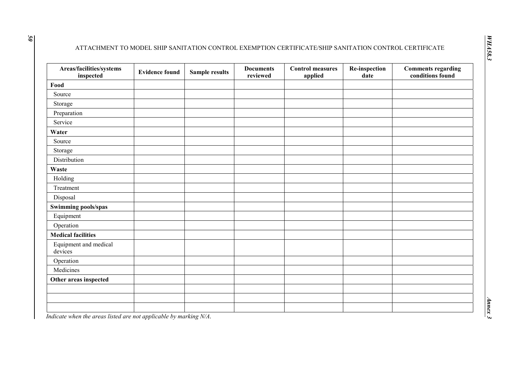| Food<br>Source<br>Storage<br>Preparation<br>Service<br>Source<br>Storage<br>Distribution<br>Holding<br>Treatment<br>Disposal<br>Equipment<br>Operation<br>Equipment and medical<br>devices<br>Operation<br>Medicines | Areas/facilities/systems<br>inspected | <b>Evidence found</b> | <b>Sample results</b> | <b>Documents</b><br>reviewed | <b>Control measures</b><br>applied | Re-inspection<br>date | <b>Comments regarding</b><br>conditions found |
|----------------------------------------------------------------------------------------------------------------------------------------------------------------------------------------------------------------------|---------------------------------------|-----------------------|-----------------------|------------------------------|------------------------------------|-----------------------|-----------------------------------------------|
| Water<br>Waste<br><b>Swimming pools/spas</b><br><b>Medical facilities</b>                                                                                                                                            |                                       |                       |                       |                              |                                    |                       |                                               |
|                                                                                                                                                                                                                      |                                       |                       |                       |                              |                                    |                       |                                               |
|                                                                                                                                                                                                                      |                                       |                       |                       |                              |                                    |                       |                                               |
|                                                                                                                                                                                                                      |                                       |                       |                       |                              |                                    |                       |                                               |
|                                                                                                                                                                                                                      |                                       |                       |                       |                              |                                    |                       |                                               |
|                                                                                                                                                                                                                      |                                       |                       |                       |                              |                                    |                       |                                               |
|                                                                                                                                                                                                                      |                                       |                       |                       |                              |                                    |                       |                                               |
|                                                                                                                                                                                                                      |                                       |                       |                       |                              |                                    |                       |                                               |
|                                                                                                                                                                                                                      |                                       |                       |                       |                              |                                    |                       |                                               |
|                                                                                                                                                                                                                      |                                       |                       |                       |                              |                                    |                       |                                               |
|                                                                                                                                                                                                                      |                                       |                       |                       |                              |                                    |                       |                                               |
|                                                                                                                                                                                                                      |                                       |                       |                       |                              |                                    |                       |                                               |
|                                                                                                                                                                                                                      |                                       |                       |                       |                              |                                    |                       |                                               |
|                                                                                                                                                                                                                      |                                       |                       |                       |                              |                                    |                       |                                               |
|                                                                                                                                                                                                                      |                                       |                       |                       |                              |                                    |                       |                                               |
|                                                                                                                                                                                                                      |                                       |                       |                       |                              |                                    |                       |                                               |
|                                                                                                                                                                                                                      |                                       |                       |                       |                              |                                    |                       |                                               |
|                                                                                                                                                                                                                      |                                       |                       |                       |                              |                                    |                       |                                               |
|                                                                                                                                                                                                                      |                                       |                       |                       |                              |                                    |                       |                                               |
|                                                                                                                                                                                                                      |                                       |                       |                       |                              |                                    |                       |                                               |
| Other areas inspected                                                                                                                                                                                                |                                       |                       |                       |                              |                                    |                       |                                               |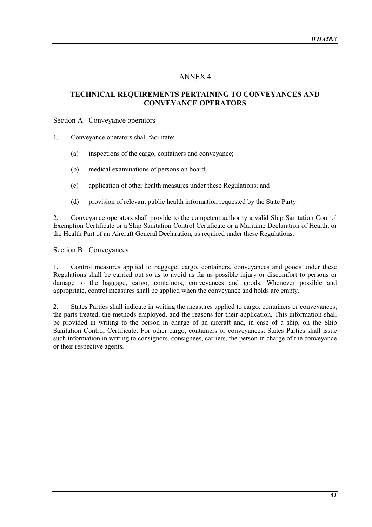### **TECHNICAL REQUIREMENTS PERTAINING TO CONVEYANCES AND CONVEYANCE OPERATORS**

### Section A Conveyance operators

1. Conveyance operators shall facilitate:

- (a) inspections of the cargo, containers and conveyance;
- (b) medical examinations of persons on board;
- (c) application of other health measures under these Regulations; and
- (d) provision of relevant public health information requested by the State Party.

2. Conveyance operators shall provide to the competent authority a valid Ship Sanitation Control Exemption Certificate or a Ship Sanitation Control Certificate or a Maritime Declaration of Health, or the Health Part of an Aircraft General Declaration, as required under these Regulations.

Section B Conveyances

1. Control measures applied to baggage, cargo, containers, conveyances and goods under these Regulations shall be carried out so as to avoid as far as possible injury or discomfort to persons or damage to the baggage, cargo, containers, conveyances and goods. Whenever possible and appropriate, control measures shall be applied when the conveyance and holds are empty.

2. States Parties shall indicate in writing the measures applied to cargo, containers or conveyances, the parts treated, the methods employed, and the reasons for their application. This information shall be provided in writing to the person in charge of an aircraft and, in case of a ship, on the Ship Sanitation Control Certificate. For other cargo, containers or conveyances, States Parties shall issue such information in writing to consignors, consignees, carriers, the person in charge of the conveyance or their respective agents.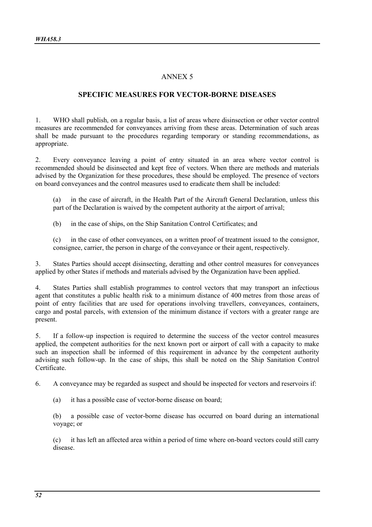### **SPECIFIC MEASURES FOR VECTOR-BORNE DISEASES**

1. WHO shall publish, on a regular basis, a list of areas where disinsection or other vector control measures are recommended for conveyances arriving from these areas. Determination of such areas shall be made pursuant to the procedures regarding temporary or standing recommendations, as appropriate.

2. Every conveyance leaving a point of entry situated in an area where vector control is recommended should be disinsected and kept free of vectors. When there are methods and materials advised by the Organization for these procedures, these should be employed. The presence of vectors on board conveyances and the control measures used to eradicate them shall be included:

(a) in the case of aircraft, in the Health Part of the Aircraft General Declaration, unless this part of the Declaration is waived by the competent authority at the airport of arrival;

(b) in the case of ships, on the Ship Sanitation Control Certificates; and

(c) in the case of other conveyances, on a written proof of treatment issued to the consignor, consignee, carrier, the person in charge of the conveyance or their agent, respectively.

3. States Parties should accept disinsecting, deratting and other control measures for conveyances applied by other States if methods and materials advised by the Organization have been applied.

4. States Parties shall establish programmes to control vectors that may transport an infectious agent that constitutes a public health risk to a minimum distance of 400 metres from those areas of point of entry facilities that are used for operations involving travellers, conveyances, containers, cargo and postal parcels, with extension of the minimum distance if vectors with a greater range are present.

5. If a follow-up inspection is required to determine the success of the vector control measures applied, the competent authorities for the next known port or airport of call with a capacity to make such an inspection shall be informed of this requirement in advance by the competent authority advising such follow-up. In the case of ships, this shall be noted on the Ship Sanitation Control Certificate.

6. A conveyance may be regarded as suspect and should be inspected for vectors and reservoirs if:

(a) it has a possible case of vector-borne disease on board;

(b) a possible case of vector-borne disease has occurred on board during an international voyage; or

(c) it has left an affected area within a period of time where on-board vectors could still carry disease.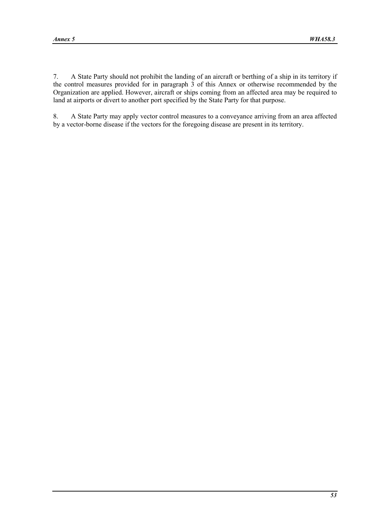7. A State Party should not prohibit the landing of an aircraft or berthing of a ship in its territory if the control measures provided for in paragraph 3 of this Annex or otherwise recommended by the Organization are applied. However, aircraft or ships coming from an affected area may be required to land at airports or divert to another port specified by the State Party for that purpose.

8. A State Party may apply vector control measures to a conveyance arriving from an area affected by a vector-borne disease if the vectors for the foregoing disease are present in its territory.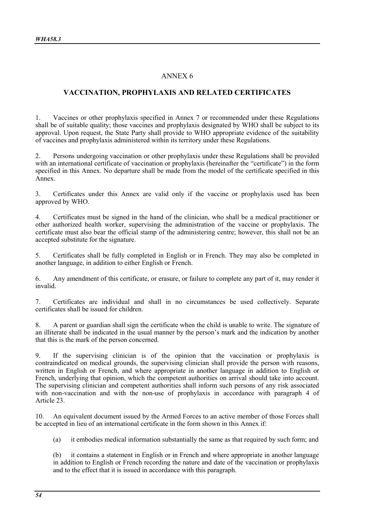### **VACCINATION, PROPHYLAXIS AND RELATED CERTIFICATES**

1. Vaccines or other prophylaxis specified in Annex 7 or recommended under these Regulations shall be of suitable quality; those vaccines and prophylaxis designated by WHO shall be subject to its approval. Upon request, the State Party shall provide to WHO appropriate evidence of the suitability of vaccines and prophylaxis administered within its territory under these Regulations.

2. Persons undergoing vaccination or other prophylaxis under these Regulations shall be provided with an international certificate of vaccination or prophylaxis (hereinafter the "certificate") in the form specified in this Annex. No departure shall be made from the model of the certificate specified in this Annex.

3. Certificates under this Annex are valid only if the vaccine or prophylaxis used has been approved by WHO.

4. Certificates must be signed in the hand of the clinician, who shall be a medical practitioner or other authorized health worker, supervising the administration of the vaccine or prophylaxis. The certificate must also bear the official stamp of the administering centre; however, this shall not be an accepted substitute for the signature.

5. Certificates shall be fully completed in English or in French. They may also be completed in another language, in addition to either English or French.

6. Any amendment of this certificate, or erasure, or failure to complete any part of it, may render it invalid.

7. Certificates are individual and shall in no circumstances be used collectively. Separate certificates shall be issued for children.

8. A parent or guardian shall sign the certificate when the child is unable to write. The signature of an illiterate shall be indicated in the usual manner by the person's mark and the indication by another that this is the mark of the person concerned.

9. If the supervising clinician is of the opinion that the vaccination or prophylaxis is contraindicated on medical grounds, the supervising clinician shall provide the person with reasons, written in English or French, and where appropriate in another language in addition to English or French, underlying that opinion, which the competent authorities on arrival should take into account. The supervising clinician and competent authorities shall inform such persons of any risk associated with non-vaccination and with the non-use of prophylaxis in accordance with paragraph 4 of Article 23.

10. An equivalent document issued by the Armed Forces to an active member of those Forces shall be accepted in lieu of an international certificate in the form shown in this Annex if:

(a) it embodies medical information substantially the same as that required by such form; and

(b) it contains a statement in English or in French and where appropriate in another language in addition to English or French recording the nature and date of the vaccination or prophylaxis and to the effect that it is issued in accordance with this paragraph.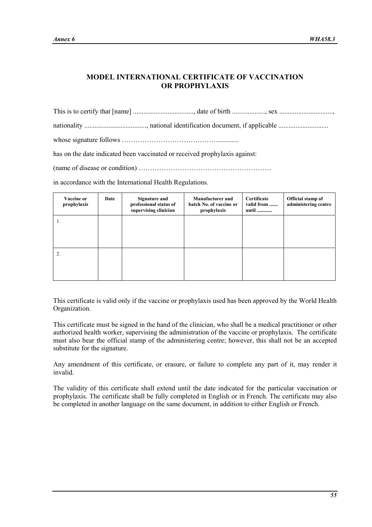### **MODEL INTERNATIONAL CERTIFICATE OF VACCINATION OR PROPHYLAXIS**

This is to certify that [name] ..................................., date of birth ..................., sex ..............................., nationality ...................................., national identification document, if applicable ............................. whose signature follows ……………………………………............

has on the date indicated been vaccinated or received prophylaxis against:

(name of disease or condition) ………………………………………………….

in accordance with the International Health Regulations.

| Vaccine or<br>prophylaxis | Date | <b>Signature and</b><br>professional status of<br>supervising clinician | <b>Manufacturer and</b><br>batch No. of vaccine or<br>prophylaxis | <b>Certificate</b><br>valid from<br>until | Official stamp of<br>administering centre |
|---------------------------|------|-------------------------------------------------------------------------|-------------------------------------------------------------------|-------------------------------------------|-------------------------------------------|
|                           |      |                                                                         |                                                                   |                                           |                                           |
| 2.                        |      |                                                                         |                                                                   |                                           |                                           |
|                           |      |                                                                         |                                                                   |                                           |                                           |

This certificate is valid only if the vaccine or prophylaxis used has been approved by the World Health Organization.

This certificate must be signed in the hand of the clinician, who shall be a medical practitioner or other authorized health worker, supervising the administration of the vaccine or prophylaxis. The certificate must also bear the official stamp of the administering centre; however, this shall not be an accepted substitute for the signature.

Any amendment of this certificate, or erasure, or failure to complete any part of it, may render it invalid.

The validity of this certificate shall extend until the date indicated for the particular vaccination or prophylaxis. The certificate shall be fully completed in English or in French. The certificate may also be completed in another language on the same document, in addition to either English or French.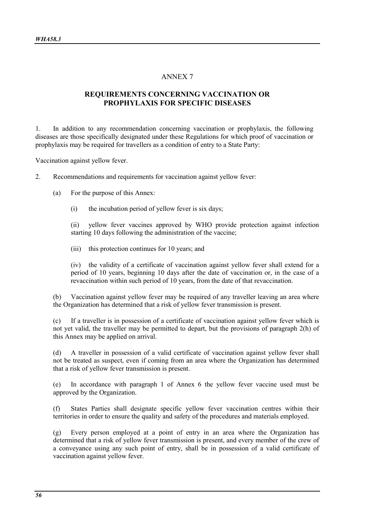### **REQUIREMENTS CONCERNING VACCINATION OR PROPHYLAXIS FOR SPECIFIC DISEASES**

1. In addition to any recommendation concerning vaccination or prophylaxis, the following diseases are those specifically designated under these Regulations for which proof of vaccination or prophylaxis may be required for travellers as a condition of entry to a State Party:

Vaccination against yellow fever.

2. Recommendations and requirements for vaccination against yellow fever:

(a) For the purpose of this Annex:

(i) the incubation period of yellow fever is six days;

(ii) yellow fever vaccines approved by WHO provide protection against infection starting 10 days following the administration of the vaccine;

(iii) this protection continues for 10 years; and

(iv) the validity of a certificate of vaccination against yellow fever shall extend for a period of 10 years, beginning 10 days after the date of vaccination or, in the case of a revaccination within such period of 10 years, from the date of that revaccination.

(b) Vaccination against yellow fever may be required of any traveller leaving an area where the Organization has determined that a risk of yellow fever transmission is present.

(c) If a traveller is in possession of a certificate of vaccination against yellow fever which is not yet valid, the traveller may be permitted to depart, but the provisions of paragraph 2(h) of this Annex may be applied on arrival.

(d) A traveller in possession of a valid certificate of vaccination against yellow fever shall not be treated as suspect, even if coming from an area where the Organization has determined that a risk of yellow fever transmission is present.

(e) In accordance with paragraph 1 of Annex 6 the yellow fever vaccine used must be approved by the Organization.

(f) States Parties shall designate specific yellow fever vaccination centres within their territories in order to ensure the quality and safety of the procedures and materials employed.

(g) Every person employed at a point of entry in an area where the Organization has determined that a risk of yellow fever transmission is present, and every member of the crew of a conveyance using any such point of entry, shall be in possession of a valid certificate of vaccination against yellow fever.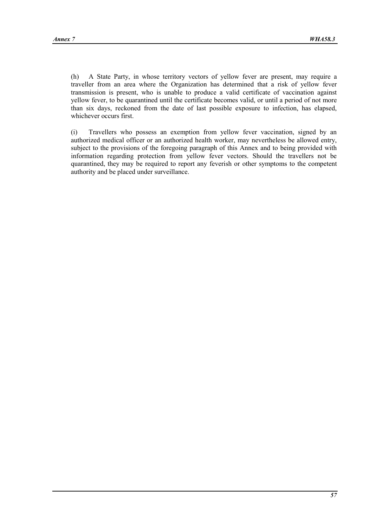(h) A State Party, in whose territory vectors of yellow fever are present, may require a traveller from an area where the Organization has determined that a risk of yellow fever transmission is present, who is unable to produce a valid certificate of vaccination against yellow fever, to be quarantined until the certificate becomes valid, or until a period of not more than six days, reckoned from the date of last possible exposure to infection, has elapsed, whichever occurs first.

(i) Travellers who possess an exemption from yellow fever vaccination, signed by an authorized medical officer or an authorized health worker, may nevertheless be allowed entry, subject to the provisions of the foregoing paragraph of this Annex and to being provided with information regarding protection from yellow fever vectors. Should the travellers not be quarantined, they may be required to report any feverish or other symptoms to the competent authority and be placed under surveillance.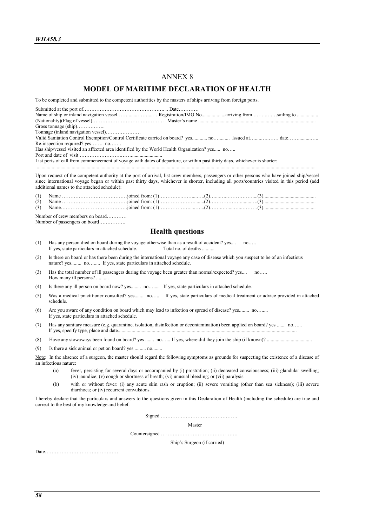#### **MODEL OF MARITIME DECLARATION OF HEALTH**

To be completed and submitted to the competent authorities by the masters of ships arriving from foreign ports.

| $Re-$ inspection required? $ves$ no                                                                                       |  |  |
|---------------------------------------------------------------------------------------------------------------------------|--|--|
| Has ship/vessel visited an affected area identified by the World Health Organization? yes no                              |  |  |
|                                                                                                                           |  |  |
| List ports of call from commencement of voyage with dates of departure, or within past thirty days, whichever is shorter: |  |  |
|                                                                                                                           |  |  |

Upon request of the competent authority at the port of arrival, list crew members, passengers or other persons who have joined ship/vessel since international voyage began or within past thirty days, whichever is shorter, including all ports/countries visited in this period (add additional names to the attached schedule):

| Name : |  |  |
|--------|--|--|

Number of crew members on board…………

Number of passengers on board…………….

#### **Health questions**

- (1) Has any person died on board during the voyage otherwise than as a result of accident? yes.... no….. If yes, state particulars in attached schedule. Total no. of deaths ..........
- (2) Is there on board or has there been during the international voyage any case of disease which you suspect to be of an infectious nature? yes........ no........ If yes, state particulars in attached schedule.
- (3) Has the total number of ill passengers during the voyage been greater than normal/expected? yes.... no….. How many ill persons? ..........
- (4) Is there any ill person on board now? yes........ no…..... If yes, state particulars in attached schedule.
- (5) Was a medical practitioner consulted? yes....... no…... If yes, state particulars of medical treatment or advice provided in attached schedule.
- (6) Are you aware of any condition on board which may lead to infection or spread of disease? yes........ no…..... If yes, state particulars in attached schedule.
- (7) Has any sanitary measure (e.g. quarantine, isolation, disinfection or decontamination) been applied on board? yes ....... no…... If yes, specify type, place and date...............................................................................................................................................
- (8) Have any stowaways been found on board? yes ....... no…... If yes, where did they join the ship (if known)? ....................................
- (9) Is there a sick animal or pet on board? yes ......... no........

Note: In the absence of a surgeon, the master should regard the following symptoms as grounds for suspecting the existence of a disease of an infectious nature:

- (a) fever, persisting for several days or accompanied by (i) prostration; (ii) decreased consciousness; (iii) glandular swelling; (iv) jaundice; (v) cough or shortness of breath; (vi) unusual bleeding; or (vii) paralysis.
- (b) with or without fever: (i) any acute skin rash or eruption; (ii) severe vomiting (other than sea sickness); (iii) severe diarrhoea; or (iv) recurrent convulsions.

I hereby declare that the particulars and answers to the questions given in this Declaration of Health (including the schedule) are true and correct to the best of my knowledge and belief.

Signed ……………………………………….

Master Naster

Countersigned ……………………………………….

Ship's Surgeon (if carried)

Date………………………………………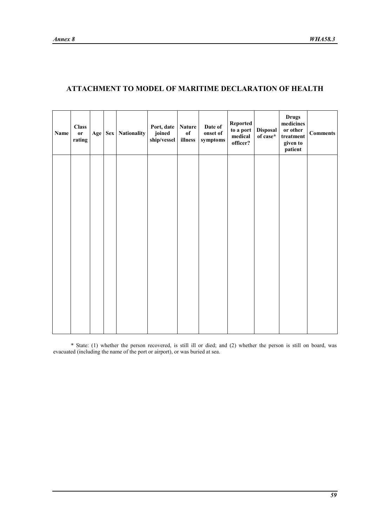| Name | <b>Class</b><br>$\mathbf{or}$<br>rating |  | Age Sex Nationality | Port, date Nature<br>joined<br>ship/vessel | of<br>illness | Date of<br>onset of<br>symptoms | Reported<br>to a port<br>medical<br>officer? | Disposal<br>of case* | <b>Drugs</b><br>medicines<br>or other<br>treatment<br>given to<br>patient | <b>Comments</b> |
|------|-----------------------------------------|--|---------------------|--------------------------------------------|---------------|---------------------------------|----------------------------------------------|----------------------|---------------------------------------------------------------------------|-----------------|
|      |                                         |  |                     |                                            |               |                                 |                                              |                      |                                                                           |                 |
|      |                                         |  |                     |                                            |               |                                 |                                              |                      |                                                                           |                 |
|      |                                         |  |                     |                                            |               |                                 |                                              |                      |                                                                           |                 |
|      |                                         |  |                     |                                            |               |                                 |                                              |                      |                                                                           |                 |

## **ATTACHMENT TO MODEL OF MARITIME DECLARATION OF HEALTH**

 \* State: (1) whether the person recovered, is still ill or died; and (2) whether the person is still on board, was evacuated (including the name of the port or airport), or was buried at sea.